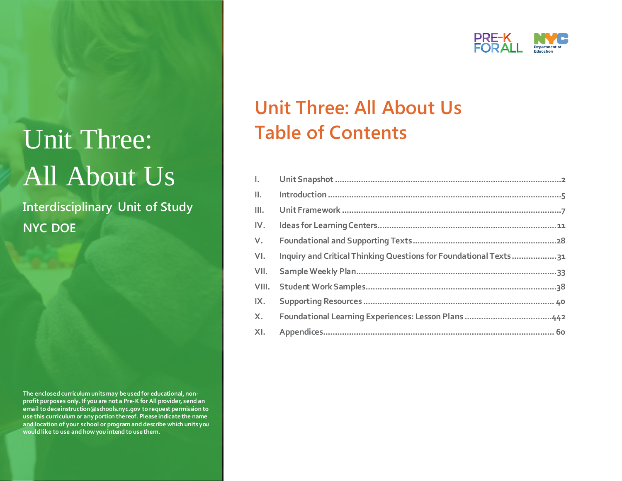# Unit Three: All About Us

**Interdisciplinary Unit of Study NYC DOE**

**The enclosed curriculum units may be used for educational, nonprofit purposes only. If you are not a Pre-K for All provider, send an email to deceinstruction@schools.nyc.gov to request permission to use this curriculum or any portion thereof. Please indicate the name and location of your school or program and describe which units you would like to use and how you intend to use them.**



## **Unit Three: All About Us Table of Contents**

| L.   |                                                                   |  |
|------|-------------------------------------------------------------------|--|
|      |                                                                   |  |
| Ш.   |                                                                   |  |
| IV.  |                                                                   |  |
| V.   |                                                                   |  |
| VI.  | Inquiry and Critical Thinking Questions for Foundational Texts 31 |  |
| VII. |                                                                   |  |
|      |                                                                   |  |
| IX.  |                                                                   |  |
| X.   |                                                                   |  |
|      |                                                                   |  |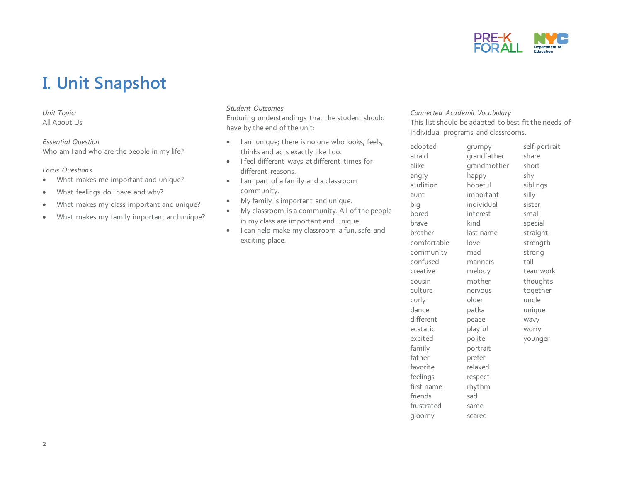

## **I. Unit Snapshot**

*Unit Topic:* All About Us

*Essential Question* 

Who am I and who are the people in my life?

*Focus Questions*

- What makes me important and unique?
- What feelings do I have and why?
- What makes my class important and unique?
- What makes my family important and unique?

#### *Student Outcomes*

Enduring understandings that the student should have by the end of the unit:

- I am unique; there is no one who looks, feels, thinks and acts exactly like I do.
- I feel different ways at different times for different reasons.
- I am part of a family and a classroom community.
- My family is important and unique.
- My classroom is a community. All of the people in my class are important and unique.
- I can help make my classroom a fun, safe and exciting place.

#### *Connected Academic Vocabulary*

This list should be adapted to best fit the needs of individual programs and classrooms.

| grandfather<br>share<br>grandmother<br>short<br>happy<br>shy<br>hopeful<br>siblings<br>important<br>silly<br>individual<br>sister |
|-----------------------------------------------------------------------------------------------------------------------------------|
|                                                                                                                                   |
|                                                                                                                                   |
|                                                                                                                                   |
|                                                                                                                                   |
|                                                                                                                                   |
|                                                                                                                                   |
| small<br>interest                                                                                                                 |
| kind<br>special                                                                                                                   |
| straight<br>last name                                                                                                             |
| strength<br>love                                                                                                                  |
| strong<br>mad                                                                                                                     |
| tall<br>manners                                                                                                                   |
| melody<br>teamwork                                                                                                                |
| mother<br>thoughts                                                                                                                |
| together<br>nervous                                                                                                               |
| uncle<br>older                                                                                                                    |
| patka<br>unique                                                                                                                   |
| peace<br>wavy                                                                                                                     |
| playful<br>worry                                                                                                                  |
| polite<br>younger                                                                                                                 |
| portrait                                                                                                                          |
| prefer                                                                                                                            |
| relaxed                                                                                                                           |
| respect                                                                                                                           |
| rhythm                                                                                                                            |
|                                                                                                                                   |
| same                                                                                                                              |
| scared                                                                                                                            |
|                                                                                                                                   |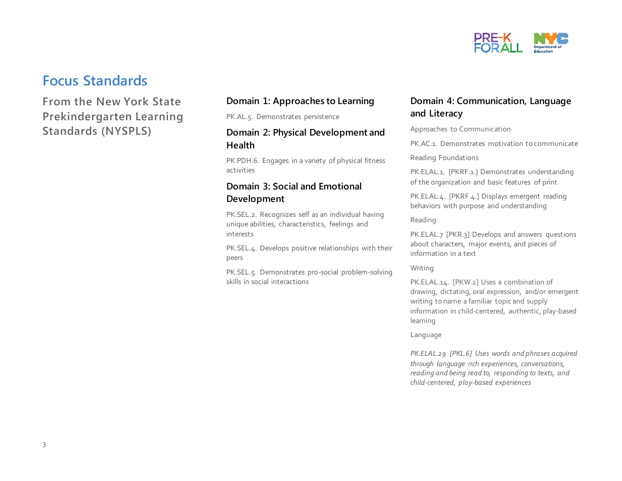

### **Focus Standards**

### **From the New York State Prekindergarten Learning Standards (NYSPLS)**

#### **Domain 1: Approaches to Learning**

PK.AL.5. Demonstrates persistence

#### **Domain 2: Physical Development and Health**

PK.PDH.6. Engages in a variety of physical fitness activities

#### **Domain 3: Social and Emotional Development**

PK.SEL.2. Recognizes self as an individual having unique abilities, characteristics, feelings and interests

PK.SEL.4. Develops positive relationships with their peers

PK.SEL.5. Demonstrates pro-social problem-solving skills in social interactions

#### **Domain 4: Communication, Language and Literacy**

Approaches to Communication

PK.AC.1. Demonstrates motivation to communicate

Reading Foundations

PK.ELAL.1. [PKRF.1.] Demonstrates understanding of the organization and basic features of print

PK.ELAL.4. [PKRF.4.] Displays emergent reading behaviors with purpose and understanding

Reading

PK.ELAL.7 [PKR.3] Develops and answers questions about characters, major events, and pieces of information in a text

Writing

PK.ELAL.14. [PKW.2] Uses a combination of drawing, dictating, oral expression, and/or emergent writing to name a familiar topic and supply information in child-centered, authentic, play-based learning

Language

*PK.ELAL.29 [PKL.6] Uses words and phrases acquired through language rich experiences, conversations, reading and being read to, responding to texts, and child-centered, play-based experiences*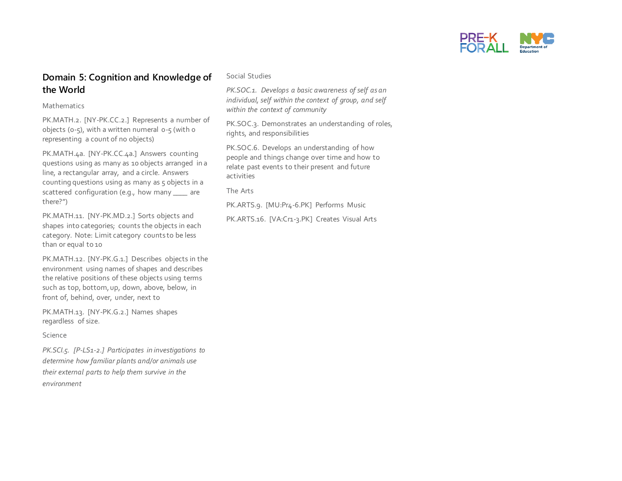

#### **Domain 5: Cognition and Knowledge of the World**

Mathematics

PK.MATH.2. [NY-PK.CC.2.] Represents a number of objects (0-5), with a written numeral 0-5 (with 0 representing a count of no objects)

PK.MATH.4a. [NY-PK.CC.4a.] Answers counting questions using as many as 10 objects arranged in a line, a rectangular array, and a circle. Answers counting questions using as many as 5 objects in a scattered configuration (e.g., how many \_\_\_\_ are there?")

PK.MATH.11. [NY-PK.MD.2.] Sorts objects and shapes into categories; counts the objects in each category. Note: Limit category counts to be less than or equal to 10

PK.MATH.12. [NY-PK.G.1.] Describes objects in the environment using names of shapes and describes the relative positions of these objects using terms such as top, bottom, up, down, above, below, in front of, behind, over, under, next to

PK.MATH.13. [NY-PK.G.2.] Names shapes regardless of size.

#### Science

*PK.SCI.5. [P-LS1-2.] Participates in investigations to determine how familiar plants and/or animals use their external parts to help them survive in the environment* 

Social Studies

*PK.SOC.1. Develops a basic awareness of self as an individual, self within the context of group, and self within the context of community*

PK.SOC.3. Demonstrates an understanding of roles, rights, and responsibilities

PK.SOC.6. Develops an understanding of how people and things change over time and how to relate past events to their present and future activities

The Arts

PK.ARTS.9. [MU:Pr4-6.PK] Performs Music

PK.ARTS.16. [VA:Cr1-3.PK] Creates Visual Arts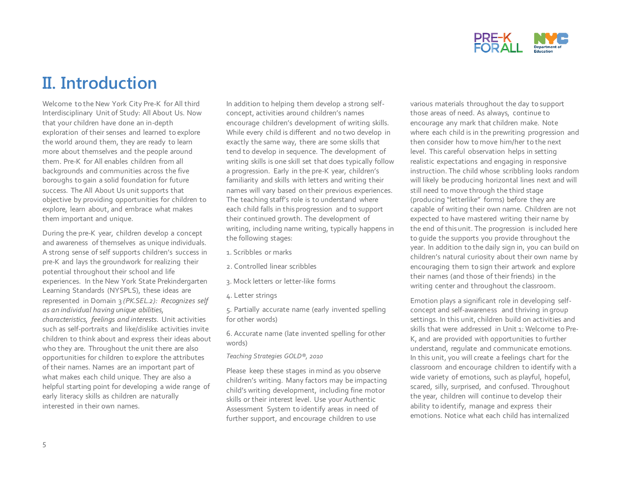

## **II. Introduction**

Welcome to the New York City Pre-K for All third Interdisciplinary Unit of Study: All About Us. Now that your children have done an in-depth exploration of their senses and learned to explore the world around them, they are ready to learn more about themselves and the people around them. Pre-K for All enables children from all backgrounds and communities across the five boroughs to gain a solid foundation for future success. The All About Us unit supports that objective by providing opportunities for children to explore, learn about, and embrace what makes them important and unique.

During the pre-K year, children develop a concept and awareness of themselves as unique individuals. A strong sense of self supports children's success in pre-K and lays the groundwork for realizing their potential throughout their school and life experiences. In the New York State Prekindergarten Learning Standards (NYSPLS), these ideas are represented in Domain 3 *(PK.SEL.2): Recognizes self as an individual having unique abilities, characteristics, feelings and interests.* Unit activities such as self-portraits and like/dislike activities invite children to think about and express their ideas about who they are. Throughout the unit there are also opportunities for children to explore the attributes of their names. Names are an important part of what makes each child unique. They are also a helpful starting point for developing a wide range of early literacy skills as children are naturally interested in their own names.

In addition to helping them develop a strong selfconcept, activities around children's names encourage children's development of writing skills. While every child is different and no two develop in exactly the same way, there are some skills that tend to develop in sequence. The development of writing skills is one skill set that does typically follow a progression. Early in the pre-K year, children's familiarity and skills with letters and writing their names will vary based on their previous experiences. The teaching staff's role is to understand where each child falls in this progression and to support their continued growth. The development of writing, including name writing, typically happens in the following stages:

- 1. Scribbles or marks
- 2. Controlled linear scribbles
- 3. Mock letters or letter-like forms
- 4. Letter strings

5. Partially accurate name (early invented spelling for other words)

6. Accurate name (late invented spelling for other words)

#### *Teaching Strategies GOLD®, 2010*

Please keep these stages in mind as you observe children's writing. Many factors may be impacting child's writing development, including fine motor skills or their interest level. Use your Authentic Assessment System to identify areas in need of further support, and encourage children to use

various materials throughout the day to support those areas of need. As always, continue to encourage any mark that children make. Note where each child is in the prewriting progression and then consider how to move him/her to the next level. This careful observation helps in setting realistic expectations and engaging in responsive instruction. The child whose scribbling looks random will likely be producing horizontal lines next and will still need to move through the third stage (producing "letterlike" forms) before they are capable of writing their own name. Children are not expected to have mastered writing their name by the end of this unit. The progression is included here to guide the supports you provide throughout the year. In addition to the daily sign in, you can build on children's natural curiosity about their own name by encouraging them to sign their artwork and explore their names (and those of their friends) in the writing center and throughout the classroom.

Emotion plays a significant role in developing selfconcept and self-awareness and thriving in group settings. In this unit, children build on activities and skills that were addressed in Unit 1: Welcome to Pre-K, and are provided with opportunities to further understand, regulate and communicate emotions. In this unit, you will create a feelings chart for the classroom and encourage children to identify with a wide variety of emotions, such as playful, hopeful, scared, silly, surprised, and confused. Throughout the year, children will continue to develop their ability to identify, manage and express their emotions. Notice what each child has internalized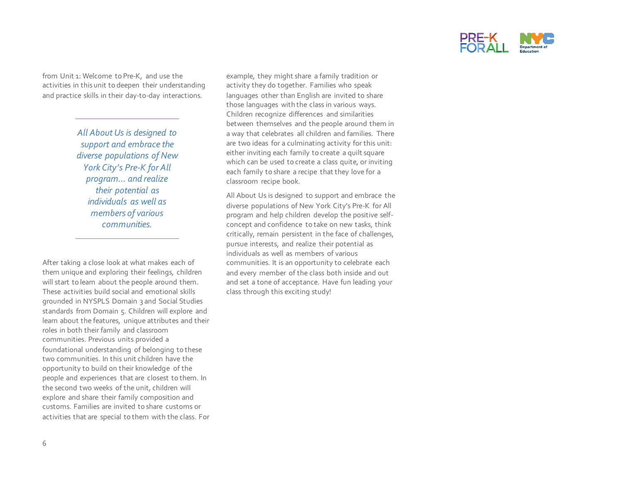

from Unit 1: Welcome to Pre-K, and use the activities in this unit to deepen their understanding and practice skills in their day-to-day interactions.

> *All About Us is designed to support and embrace the diverse populations of New York City's Pre-K for All program… and realize their potential as individuals as well as members of various communities.*

After taking a close look at what makes each of them unique and exploring their feelings, children will start to learn about the people around them. These activities build social and emotional skills grounded in NYSPLS Domain 3 and Social Studies standards from Domain 5. Children will explore and learn about the features, unique attributes and their roles in both their family and classroom communities. Previous units provided a foundational understanding of belonging to these two communities. In this unit children have the opportunity to build on their knowledge of the people and experiences that are closest to them. In the second two weeks of the unit, children will explore and share their family composition and customs. Families are invited to share customs or activities that are special to them with the class. For example, they might share a family tradition or activity they do together. Families who speak languages other than English are invited to share those languages with the class in various ways. Children recognize differences and similarities between themselves and the people around them in a way that celebrates all children and families. There are two ideas for a culminating activity for this unit: either inviting each family to create a quilt square which can be used to create a class quite, or inviting each family to share a recipe that they love for a classroom recipe book.

All About Us is designed to support and embrace the diverse populations of New York City's Pre-K for All program and help children develop the positive selfconcept and confidence to take on new tasks, think critically, remain persistent in the face of challenges, pursue interests, and realize their potential as individuals as well as members of various communities. It is an opportunity to celebrate each and every member of the class both inside and out and set a tone of acceptance. Have fun leading your class through this exciting study!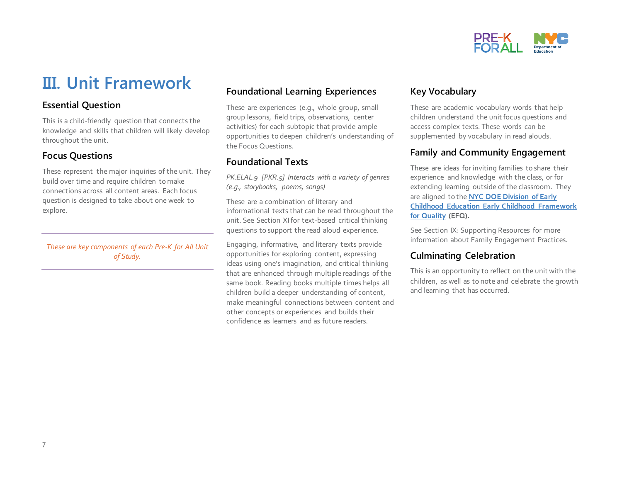

## **III. Unit Framework**

#### **Essential Question**

This is a child-friendly question that connects the knowledge and skills that children will likely develop throughout the unit.

#### **Focus Questions**

These represent the major inquiries of the unit. They build over time and require children to make connections across all content areas. Each focus question is designed to take about one week to explore.

*These are key components of each Pre-K for All Unit of Study.* 

#### **Foundational Learning Experiences**

These are experiences (e.g., whole group, small group lessons, field trips, observations, center activities) for each subtopic that provide ample opportunities to deepen children's understanding of the Focus Questions.

#### **Foundational Texts**

*PK.ELAL.9 [PKR.5] Interacts with a variety of genres (e.g., storybooks, poems, songs)*

These are a combination of literary and informational texts that can be read throughout the unit. See Section XIfor text-based critical thinking questions to support the read aloud experience.

Engaging, informative, and literary texts provide opportunities for exploring content, expressing ideas using one's imagination, and critical thinking that are enhanced through multiple readings of the same book. Reading books multiple times helps all children build a deeper understanding of content, make meaningful connections between content and other concepts or experiences and builds their confidence as learners and as future readers.

#### **Key Vocabulary**

These are academic vocabulary words that help children understand the unit focus questions and access complex texts. These words can be supplemented by vocabulary in read alouds.

#### **Family and Community Engagement**

These are ideas for inviting families to share their experience and knowledge with the class, or for extending learning outside of the classroom. They are aligned to the **[NYC DOE Division of Early](https://infohub.nyced.org/docs/default-source/default-document-library/early-childhood-framework-for-quality.pdf)  Childhood Education [Early Childhood Framework](https://infohub.nyced.org/docs/default-source/default-document-library/early-childhood-framework-for-quality.pdf)  [for Quality](https://infohub.nyced.org/docs/default-source/default-document-library/early-childhood-framework-for-quality.pdf) (EFQ).**

See Section IX: Supporting Resources for more information about Family Engagement Practices.

#### **Culminating Celebration**

This is an opportunity to reflect on the unit with the children, as well as to note and celebrate the growth and learning that has occurred.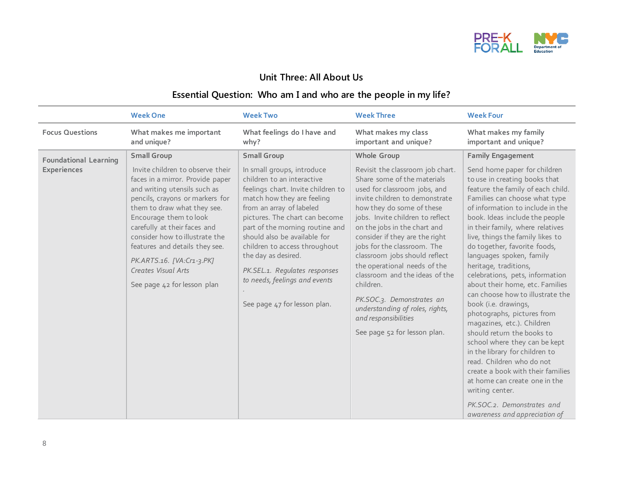

#### **Unit Three: All About Us**

### **Essential Question: Who am I and who are the people in my life?**

|                                                    | <b>Week One</b>                                                                                                                                                                                                                                                                                                                                                                                               | <b>Week Two</b>                                                                                                                                                                                                                                                                                                                                                                                                                               | <b>Week Three</b>                                                                                                                                                                                                                                                                                                                                                                                                                                                                                                                                          | <b>Week Four</b>                                                                                                                                                                                                                                                                                                                                                                                                                                                                                                                                                                                                                                                                                                                                                                                                                                                                       |
|----------------------------------------------------|---------------------------------------------------------------------------------------------------------------------------------------------------------------------------------------------------------------------------------------------------------------------------------------------------------------------------------------------------------------------------------------------------------------|-----------------------------------------------------------------------------------------------------------------------------------------------------------------------------------------------------------------------------------------------------------------------------------------------------------------------------------------------------------------------------------------------------------------------------------------------|------------------------------------------------------------------------------------------------------------------------------------------------------------------------------------------------------------------------------------------------------------------------------------------------------------------------------------------------------------------------------------------------------------------------------------------------------------------------------------------------------------------------------------------------------------|----------------------------------------------------------------------------------------------------------------------------------------------------------------------------------------------------------------------------------------------------------------------------------------------------------------------------------------------------------------------------------------------------------------------------------------------------------------------------------------------------------------------------------------------------------------------------------------------------------------------------------------------------------------------------------------------------------------------------------------------------------------------------------------------------------------------------------------------------------------------------------------|
| <b>Focus Questions</b>                             | What makes me important<br>and unique?                                                                                                                                                                                                                                                                                                                                                                        | What feelings do I have and<br>why?                                                                                                                                                                                                                                                                                                                                                                                                           | What makes my class<br>important and unique?                                                                                                                                                                                                                                                                                                                                                                                                                                                                                                               | What makes my family<br>important and unique?                                                                                                                                                                                                                                                                                                                                                                                                                                                                                                                                                                                                                                                                                                                                                                                                                                          |
| <b>Foundational Learning</b><br><b>Experiences</b> | <b>Small Group</b><br>Invite children to observe their<br>faces in a mirror. Provide paper<br>and writing utensils such as<br>pencils, crayons or markers for<br>them to draw what they see.<br>Encourage them to look<br>carefully at their faces and<br>consider how to illustrate the<br>features and details they see.<br>PK.ARTS.16. [VA:Cr1-3.PK]<br>Creates Visual Arts<br>See page 42 for lesson plan | <b>Small Group</b><br>In small groups, introduce<br>children to an interactive<br>feelings chart. Invite children to<br>match how they are feeling<br>from an array of labeled<br>pictures. The chart can become<br>part of the morning routine and<br>should also be available for<br>children to access throughout<br>the day as desired.<br>PK.SEL.1. Regulates responses<br>to needs, feelings and events<br>See page 47 for lesson plan. | Whole Group<br>Revisit the classroom job chart.<br>Share some of the materials<br>used for classroom jobs, and<br>invite children to demonstrate<br>how they do some of these<br>jobs. Invite children to reflect<br>on the jobs in the chart and<br>consider if they are the right<br>jobs for the classroom. The<br>classroom jobs should reflect<br>the operational needs of the<br>classroom and the ideas of the<br>children.<br>PK.SOC.3. Demonstrates an<br>understanding of roles, rights,<br>and responsibilities<br>See page 52 for lesson plan. | <b>Family Engagement</b><br>Send home paper for children<br>to use in creating books that<br>feature the family of each child.<br>Families can choose what type<br>of information to include in the<br>book. Ideas include the people<br>in their family, where relatives<br>live, things the family likes to<br>do together, favorite foods,<br>languages spoken, family<br>heritage, traditions,<br>celebrations, pets, information<br>about their home, etc. Families<br>can choose how to illustrate the<br>book (i.e. drawings,<br>photographs, pictures from<br>magazines, etc.). Children<br>should return the books to<br>school where they can be kept<br>in the library for children to<br>read. Children who do not<br>create a book with their families<br>at home can create one in the<br>writing center.<br>PK.SOC.2. Demonstrates and<br>awareness and appreciation of |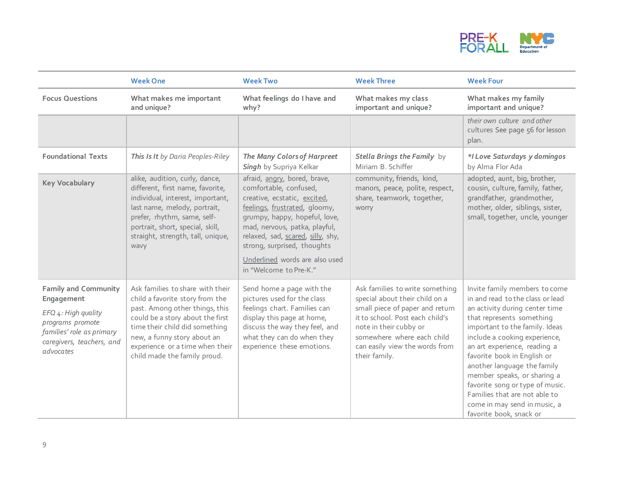

|                                                                                                                                                             | <b>Week One</b>                                                                                                                                                                                                                                                               | <b>Week Two</b>                                                                                                                                                                                                                                                                                                           | <b>Week Three</b>                                                                                                                                                                                                                                  | <b>Week Four</b>                                                                                                                                                                                                                                                                                                                                                                                                                                                |
|-------------------------------------------------------------------------------------------------------------------------------------------------------------|-------------------------------------------------------------------------------------------------------------------------------------------------------------------------------------------------------------------------------------------------------------------------------|---------------------------------------------------------------------------------------------------------------------------------------------------------------------------------------------------------------------------------------------------------------------------------------------------------------------------|----------------------------------------------------------------------------------------------------------------------------------------------------------------------------------------------------------------------------------------------------|-----------------------------------------------------------------------------------------------------------------------------------------------------------------------------------------------------------------------------------------------------------------------------------------------------------------------------------------------------------------------------------------------------------------------------------------------------------------|
| <b>Focus Questions</b>                                                                                                                                      | What makes me important<br>and unique?                                                                                                                                                                                                                                        | What feelings do I have and<br>why?                                                                                                                                                                                                                                                                                       | What makes my class<br>important and unique?                                                                                                                                                                                                       | What makes my family<br>important and unique?                                                                                                                                                                                                                                                                                                                                                                                                                   |
|                                                                                                                                                             |                                                                                                                                                                                                                                                                               |                                                                                                                                                                                                                                                                                                                           |                                                                                                                                                                                                                                                    | their own culture and other<br>cultures See page 56 for lesson<br>plan.                                                                                                                                                                                                                                                                                                                                                                                         |
| <b>Foundational Texts</b>                                                                                                                                   | This Is It by Daria Peoples-Riley                                                                                                                                                                                                                                             | The Many Colors of Harpreet<br>Singh by Supriya Kelkar                                                                                                                                                                                                                                                                    | Stella Brings the Family by<br>Miriam B. Schiffer                                                                                                                                                                                                  | *I Love Saturdays y domingos<br>by Alma Flor Ada                                                                                                                                                                                                                                                                                                                                                                                                                |
| <b>Key Vocabulary</b>                                                                                                                                       | alike, audition, curly, dance,<br>different, first name, favorite,<br>individual, interest, important,<br>last name, melody, portrait,<br>prefer, rhythm, same, self-<br>portrait, short, special, skill,<br>straight, strength, tall, unique,<br>wavy                        | afraid, angry, bored, brave,<br>comfortable, confused,<br>creative, ecstatic, excited,<br>feelings, frustrated, gloomy,<br>grumpy, happy, hopeful, love,<br>mad, nervous, patka, playful,<br>relaxed, sad, scared, silly, shy,<br>strong, surprised, thoughts<br>Underlined words are also used<br>in "Welcome to Pre-K." | community, friends, kind,<br>manors, peace, polite, respect,<br>share, teamwork, together,<br>worry                                                                                                                                                | adopted, aunt, big, brother,<br>cousin, culture, family, father,<br>grandfather, grandmother,<br>mother, older, siblings, sister,<br>small, together, uncle, younger                                                                                                                                                                                                                                                                                            |
| <b>Family and Community</b><br>Engagement<br>EFQ 4: High quality<br>programs promote<br>families' role as primary<br>caregivers, teachers, and<br>advocates | Ask families to share with their<br>child a favorite story from the<br>past. Among other things, this<br>could be a story about the first<br>time their child did something<br>new, a funny story about an<br>experience or a time when their<br>child made the family proud. | Send home a page with the<br>pictures used for the class<br>feelings chart. Families can<br>display this page at home,<br>discuss the way they feel, and<br>what they can do when they<br>experience these emotions.                                                                                                      | Ask families to write something<br>special about their child on a<br>small piece of paper and return<br>it to school. Post each child's<br>note in their cubby or<br>somewhere where each child<br>can easily view the words from<br>their family. | Invite family members to come<br>in and read to the class or lead<br>an activity during center time<br>that represents something<br>important to the family. Ideas<br>include a cooking experience,<br>an art experience, reading a<br>favorite book in English or<br>another language the family<br>member speaks, or sharing a<br>favorite song or type of music.<br>Families that are not able to<br>come in may send in music, a<br>favorite book, snack or |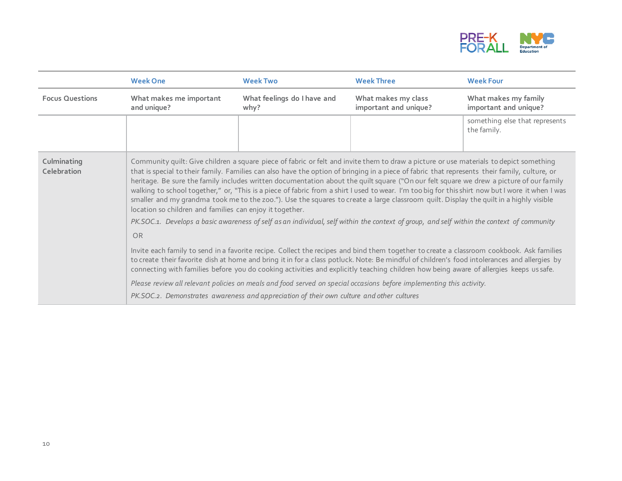

|                            | <b>Week One</b>                                                                                                                                                                                                                                                                                                                                                                                                                                                                                                                                                                                                                                                                                                                                                                                                                                                                                                                                                                                                                                                                                                                                                                                                                                                                                                                                                                                                                                                                                                     | <b>Week Two</b>                     | <b>Week Three</b>                                                                         | <b>Week Four</b>                              |
|----------------------------|---------------------------------------------------------------------------------------------------------------------------------------------------------------------------------------------------------------------------------------------------------------------------------------------------------------------------------------------------------------------------------------------------------------------------------------------------------------------------------------------------------------------------------------------------------------------------------------------------------------------------------------------------------------------------------------------------------------------------------------------------------------------------------------------------------------------------------------------------------------------------------------------------------------------------------------------------------------------------------------------------------------------------------------------------------------------------------------------------------------------------------------------------------------------------------------------------------------------------------------------------------------------------------------------------------------------------------------------------------------------------------------------------------------------------------------------------------------------------------------------------------------------|-------------------------------------|-------------------------------------------------------------------------------------------|-----------------------------------------------|
| <b>Focus Questions</b>     | What makes me important<br>and unique?                                                                                                                                                                                                                                                                                                                                                                                                                                                                                                                                                                                                                                                                                                                                                                                                                                                                                                                                                                                                                                                                                                                                                                                                                                                                                                                                                                                                                                                                              | What feelings do I have and<br>why? | What makes my class<br>important and unique?                                              | What makes my family<br>important and unique? |
|                            |                                                                                                                                                                                                                                                                                                                                                                                                                                                                                                                                                                                                                                                                                                                                                                                                                                                                                                                                                                                                                                                                                                                                                                                                                                                                                                                                                                                                                                                                                                                     |                                     |                                                                                           | something else that represents<br>the family. |
| Culminating<br>Celebration | Community quilt: Give children a square piece of fabric or felt and invite them to draw a picture or use materials to depict something<br>that is special to their family. Families can also have the option of bringing in a piece of fabric that represents their family, culture, or<br>heritage. Be sure the family includes written documentation about the quilt square ("On our felt square we drew a picture of our family<br>walking to school together," or, "This is a piece of fabric from a shirt I used to wear. I'm too big for this shirt now but I wore it when I was<br>smaller and my grandma took me to the zoo."). Use the squares to create a large classroom quilt. Display the quilt in a highly visible<br>location so children and families can enjoy it together.<br>PK.SOC.1. Develops a basic awareness of self as an individual, self within the context of group, and self within the context of community<br><b>OR</b><br>Invite each family to send in a favorite recipe. Collect the recipes and bind them together to create a classroom cookbook. Ask families<br>to create their favorite dish at home and bring it in for a class potluck. Note: Be mindful of children's food intolerances and allergies by<br>connecting with families before you do cooking activities and explicitly teaching children how being aware of allergies keeps ussafe.<br>Please review all relevant policies on meals and food served on special occasions before implementing this activity. |                                     | PK.SOC.2. Demonstrates awareness and appreciation of their own culture and other cultures |                                               |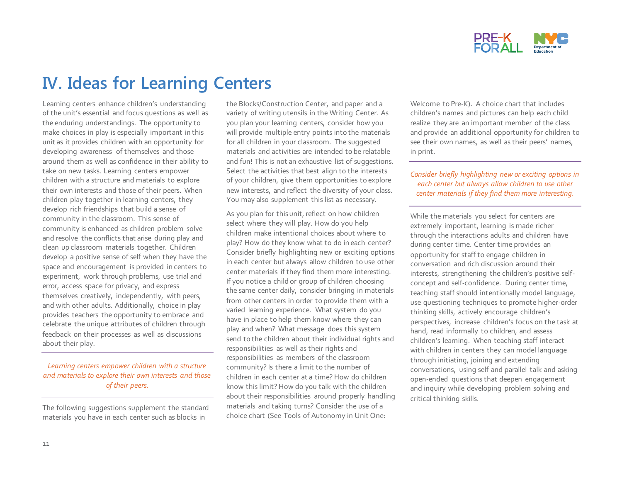

## **IV. Ideas for Learning Centers**

Learning centers enhance children's understanding of the unit's essential and focus questions as well as the enduring understandings. The opportunity to make choices in play is especially important in this unit as it provides children with an opportunity for developing awareness of themselves and those around them as well as confidence in their ability to take on new tasks. Learning centers empower children with a structure and materials to explore their own interests and those of their peers. When children play together in learning centers, they develop rich friendships that build a sense of community in the classroom. This sense of community is enhanced as children problem solve and resolve the conflicts that arise during play and clean up classroom materials together. Children develop a positive sense of self when they have the space and encouragement is provided in centers to experiment, work through problems, use trial and error, access space for privacy, and express themselves creatively, independently, with peers, and with other adults. Additionally, choice in play provides teachers the opportunity to embrace and celebrate the unique attributes of children through feedback on their processes as well as discussions about their play.

#### *Learning centers empower children with a structure and materials to explore their own interests and those of their peers.*

The following suggestions supplement the standard materials you have in each center such as blocks in

the Blocks/Construction Center, and paper and a variety of writing utensils in the Writing Center. As you plan your learning centers, consider how you will provide multiple entry points into the materials for all children in your classroom. The suggested materials and activities are intended to be relatable and fun! This is not an exhaustive list of suggestions. Select the activities that best align to the interests of your children, give them opportunities to explore new interests, and reflect the diversity of your class. You may also supplement this list as necessary.

As you plan for this unit, reflect on how children select where they will play. How do you help children make intentional choices about where to play? How do they know what to do in each center? Consider briefly highlighting new or exciting options in each center but always allow children to use other center materials if they find them more interesting. If you notice a child or group of children choosing the same center daily, consider bringing in materials from other centers in order to provide them with a varied learning experience. What system do you have in place to help them know where they can play and when? What message does this system send to the children about their individual rights and responsibilities as well as their rights and responsibilities as members of the classroom community? Is there a limit to the number of children in each center at a time? How do children know this limit? How do you talk with the children about their responsibilities around properly handling materials and taking turns? Consider the use of a choice chart (See Tools of Autonomy in Unit One:

Welcome to Pre-K). A choice chart that includes children's names and pictures can help each child realize they are an important member of the class and provide an additional opportunity for children to see their own names, as well as their peers' names, in print.

#### *Consider briefly highlighting new or exciting options in each center but always allow children to use other center materials if they find them more interesting.*

While the materials you select for centers are extremely important, learning is made richer through the interactions adults and children have during center time. Center time provides an opportunity for staff to engage children in conversation and rich discussion around their interests, strengthening the children's positive selfconcept and self-confidence. During center time, teaching staff should intentionally model language, use questioning techniques to promote higher-order thinking skills, actively encourage children's perspectives, increase children's focus on the task at hand, read informally to children, and assess children's learning. When teaching staff interact with children in centers they can model language through initiating, joining and extending conversations, using self and parallel talk and asking open-ended questions that deepen engagement and inquiry while developing problem solving and critical thinking skills.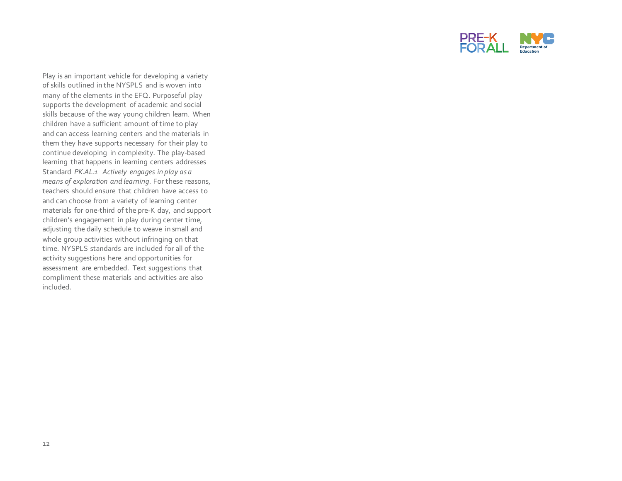

Play is an important vehicle for developing a variety of skills outlined in the NYSPLS and is woven into many of the elements in the EFQ. Purposeful play supports the development of academic and social skills because of the way young children learn. When children have a sufficient amount of time to play and can access learning centers and the materials in them they have supports necessary for their play to continue developing in complexity. The play-based learning that happens in learning centers addresses Standard *PK.AL.1 Actively engages in play as a means of exploration and learning*. For these reasons, teachers should ensure that children have access to and can choose from a variety of learning center materials for one-third of the pre-K day, and support children's engagement in play during center time, adjusting the daily schedule to weave in small and whole group activities without infringing on that time. NYSPLS standards are included for all of the activity suggestions here and opportunities for assessment are embedded. Text suggestions that compliment these materials and activities are also included.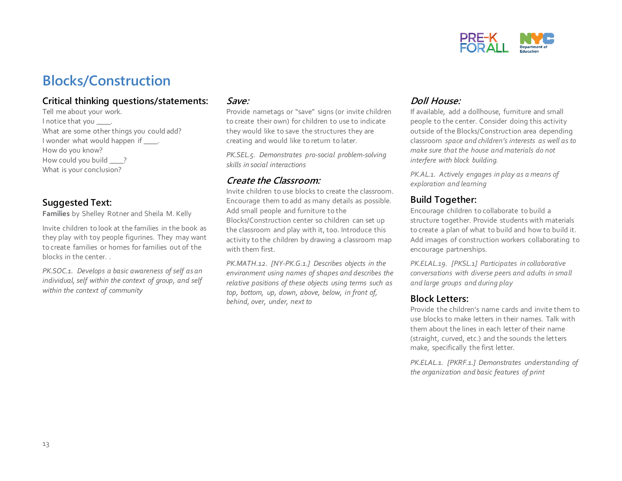

## **Blocks/Construction**

#### **Critical thinking questions/statements:**

Tell me about your work. I notice that you \_\_\_\_. What are some other things you could add? I wonder what would happen if \_\_\_\_. How do you know? How could you build ? What is your conclusion?

#### **Suggested Text:**

**Families** by Shelley Rotner and Sheila M. Kelly

Invite children to look at the families in the book as they play with toy people figurines. They may want to create families or homes for families out of the blocks in the center. .

*PK.SOC.1. Develops a basic awareness of self as an individual, self within the context of group, and self within the context of community*

#### **Save:**

Provide nametags or "save" signs (or invite children to create their own) for children to use to indicate they would like to save the structures they are creating and would like to return to later.

*PK.SEL.5. Demonstrates pro-social problem-solving skills in social interactions*

#### **Create the Classroom:**

Invite children to use blocks to create the classroom. Encourage them to add as many details as possible. Add small people and furniture to the Blocks/Construction center so children can set up the classroom and play with it, too. Introduce this activity to the children by drawing a classroom map with them first.

*PK.MATH.12. [NY-PK.G.1.] Describes objects in the environment using names of shapes and describes the relative positions of these objects using terms such as top, bottom, up, down, above, below, in front of, behind, over, under, next to*

#### **Doll House:**

If available, add a dollhouse, furniture and small people to the center. Consider doing this activity outside of the Blocks/Construction area depending classroom *space and children's interests as well as to make sure that the house and materials do not interfere with block building.*

*PK.AL.1. Actively engages in play as a means of exploration and learning*

#### **Build Together:**

Encourage children to collaborate to build a structure together. Provide students with materials to create a plan of what to build and how to build it. Add images of construction workers collaborating to encourage partnerships.

*PK.ELAL.19. [PKSL.1] Participates in collaborative conversations with diverse peers and adults in small and large groups and during play*

#### **Block Letters:**

Provide the children's name cards and invite them to use blocks to make letters in their names. Talk with them about the lines in each letter of their name (straight, curved, etc.) and the sounds the letters make, specifically the first letter.

*PK.ELAL.1. [PKRF.1.] Demonstrates understanding of the organization and basic features of print*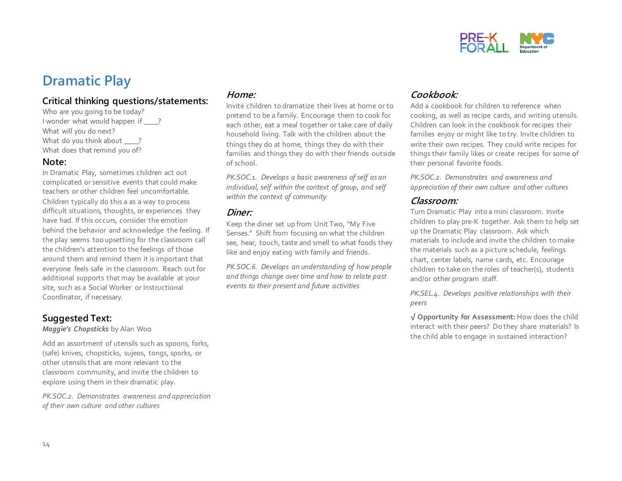

## **Dramatic Play**

#### **Critical thinking questions/statements:**

Who are you going to be today? I wonder what would happen if ? What will you do next? What do you think about ? What does that remind you of?

#### **Note:**

In Dramatic Play, sometimes children act out complicated or sensitive events that could make teachers or other children feel uncomfortable. Children typically do this a as a way to process difficult situations, thoughts, or experiences they have had. If this occurs, consider the emotion behind the behavior and acknowledge the feeling. If the play seems too upsetting for the classroom call the children's attention to the feelings of those around them and remind them it is important that everyone feels safe in the classroom. Reach out for additional supports that may be available at your site, such as a Social Worker or Instructional Coordinator, if necessary.

#### **Suggested Text:**

*Maggie's Chopsticks* by Alan Woo

Add an assortment of utensils such as spoons, forks, (safe) knives, chopsticks, sujeos, tongs, sporks, or other utensils that are more relevant to the classroom community, and invite the children to explore using them in their dramatic play.

*PK.SOC.2. Demonstrates awareness and appreciation of their own culture and other cultures*

#### **Home:**

Invite children to dramatize their lives at home or to pretend to be a family. Encourage them to cook for each other, eat a meal together or take care of daily household living. Talk with the children about the things they do at home, things they do with their families and things they do with their friends outside of school.

*PK.SOC.1. Develops a basic awareness of self as an individual, self within the context of group, and self within the context of community*

#### **Diner:**

Keep the diner set up from Unit Two, "My Five Senses." Shift from focusing on what the children see, hear, touch, taste and smell to what foods they like and enjoy eating with family and friends.

*PK.SOC.6. Develops an understanding of how people and things change over time and how to relate past events to their present and future activities*

#### **Cookbook:**

Add a cookbook for children to reference when cooking, as well as recipe cards, and writing utensils. Children can look in the cookbook for recipes their families enjoy or might like to try. Invite children to write their own recipes. They could write recipes for things their family likes or create recipes for some of their personal favorite foods.

*PK.SOC.2. Demonstrates and awareness and appreciation of their own culture and other cultures* 

#### **Classroom:**

Turn Dramatic Play into a mini classroom. Invite children to play pre-K together. Ask them to help set up the Dramatic Play classroom. Ask which materials to include and invite the children to make the materials such as a picture schedule, feelings chart, center labels, name cards, etc. Encourage children to take on the roles of teacher(s), students and/or other program staff.

*PK.SEL.4. Develops positive relationships with their peers*

**√ Opportunity for Assessment:** How does the child interact with their peers? Do they share materials? Is the child able to engage in sustained interaction?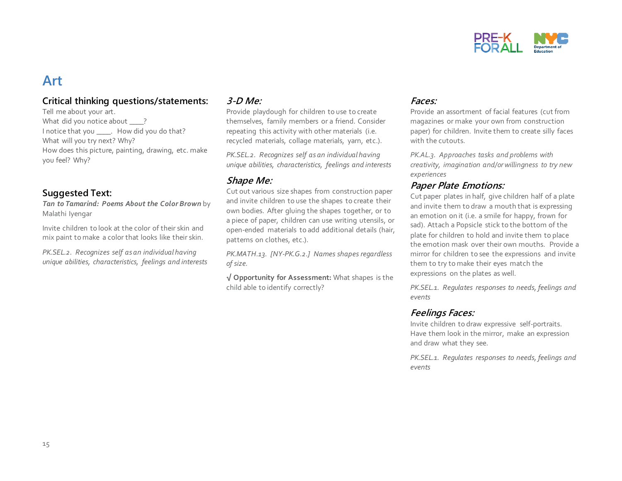

### **Art**

#### **Critical thinking questions/statements:**

Tell me about your art. What did you notice about ? I notice that you \_\_\_\_. How did you do that? What will you try next? Why? How does this picture, painting, drawing, etc. make you feel? Why?

#### **Suggested Text:**

*Tan to Tamarind: Poems About the Color Brown* by Malathi Iyengar

Invite children to look at the color of their skin and mix paint to make a color that looks like their skin.

*PK.SEL.2. Recognizes self as an individual having unique abilities, characteristics, feelings and interests* 

#### **3-D Me:**

Provide playdough for children to use to create themselves, family members or a friend. Consider repeating this activity with other materials (i.e. recycled materials, collage materials, yarn, etc.).

*PK.SEL.2. Recognizes self as an individual having unique abilities, characteristics, feelings and interests* 

#### **Shape Me:**

Cut out various size shapes from construction paper and invite children to use the shapes to create their own bodies. After gluing the shapes together, or to a piece of paper, children can use writing utensils, or open-ended materials to add additional details (hair, patterns on clothes, etc.).

*PK.MATH.13. [NY-PK.G.2.] Names shapes regardless of size.*

**√ Opportunity for Assessment:** What shapes is the child able to identify correctly?

#### **Faces:**

Provide an assortment of facial features (cut from magazines or make your own from construction paper) for children. Invite them to create silly faces with the cutouts.

*PK.AL.3. Approaches tasks and problems with creativity, imagination and/or willingness to try new experiences*

#### **Paper Plate Emotions:**

Cut paper plates in half, give children half of a plate and invite them to draw a mouth that is expressing an emotion on it (i.e. a smile for happy, frown for sad). Attach a Popsicle stick to the bottom of the plate for children to hold and invite them to place the emotion mask over their own mouths. Provide a mirror for children to see the expressions and invite them to try to make their eyes match the expressions on the plates as well.

*PK.SEL.1. Regulates responses to needs, feelings and events*

#### **Feelings Faces:**

Invite children to draw expressive self-portraits. Have them look in the mirror, make an expression and draw what they see.

*PK.SEL.1. Regulates responses to needs, feelings and events*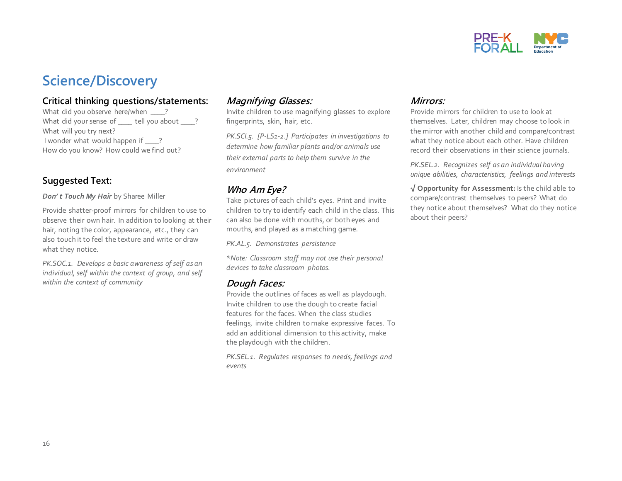

### **Science/Discovery**

#### **Critical thinking questions/statements:**

What did you observe here/when \_\_\_\_? What did your sense of tell you about ? What will you try next? I wonder what would happen if ? How do you know? How could we find out?

#### **Suggested Text:**

*Don' t Touch My Hair* by Sharee Miller

Provide shatter-proof mirrors for children to use to observe their own hair. In addition to looking at their hair, noting the color, appearance, etc., they can also touch it to feel the texture and write or draw what they notice.

*PK.SOC.1. Develops a basic awareness of self as an individual, self within the context of group, and self within the context of community*

#### **Magnifying Glasses:**

Invite children to use magnifying glasses to explore fingerprints, skin, hair, etc.

*PK.SCI.5. [P-LS1-2.] Participates in investigations to determine how familiar plants and/or animals use their external parts to help them survive in the environment* 

#### **Who Am Eye?**

Take pictures of each child's eyes. Print and invite children to try to identify each child in the class. This can also be done with mouths, or both eyes and mouths, and played as a matching game.

*PK.AL.5. Demonstrates persistence*

*\*Note: Classroom staff may not use their personal devices to take classroom photos.*

#### **Dough Faces:**

Provide the outlines of faces as well as playdough. Invite children to use the dough to create facial features for the faces. When the class studies feelings, invite children to make expressive faces. To add an additional dimension to this activity, make the playdough with the children.

*PK.SEL.1. Regulates responses to needs, feelings and events*

#### **Mirrors:**

Provide mirrors for children to use to look at themselves. Later, children may choose to look in the mirror with another child and compare/contrast what they notice about each other. Have children record their observations in their science journals.

*PK.SEL.2. Recognizes self as an individual having unique abilities, characteristics, feelings and interests* 

**√ Opportunity for Assessment:** Is the child able to compare/contrast themselves to peers? What do they notice about themselves? What do they notice about their peers?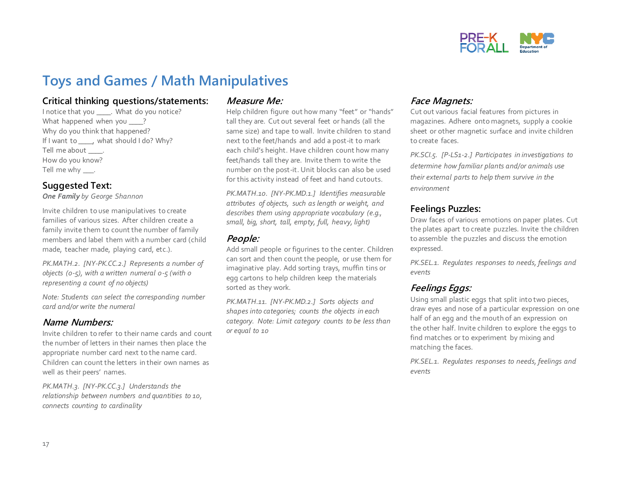

## **Toys and Games / Math Manipulatives**

#### **Critical thinking questions/statements:**

I notice that you \_\_\_\_. What do you notice? What happened when you ? Why do you think that happened? If I want to \_\_\_\_, what should I do? Why? Tell me about \_\_\_\_\_. How do you know? Tell me why \_\_\_\_.

#### **Suggested Text:**

*One Family by George Shannon*

Invite children to use manipulatives to create families of various sizes. After children create a family invite them to count the number of family members and label them with a number card (child made, teacher made, playing card, etc.).

*PK.MATH.2. [NY-PK.CC.2.] Represents a number of objects (0-5), with a written numeral 0-5 (with 0 representing a count of no objects)* 

*Note: Students can select the corresponding number card and/or write the numeral*

#### **Name Numbers:**

Invite children to refer to their name cards and count the number of letters in their names then place the appropriate number card next to the name card. Children can count the letters in their own names as well as their peers' names.

*PK.MATH.3. [NY-PK.CC.3.] Understands the relationship between numbers and quantities to 10, connects counting to cardinality*

#### **Measure Me:**

Help children figure out how many "feet" or "hands" tall they are. Cut out several feet or hands (all the same size) and tape to wall. Invite children to stand next to the feet/hands and add a post-it to mark each child's height. Have children count how many feet/hands tall they are. Invite them to write the number on the post-it. Unit blocks can also be used for this activity instead of feet and hand cutouts.

*PK.MATH.10. [NY-PK.MD.1.] Identifies measurable attributes of objects, such as length or weight, and describes them using appropriate vocabulary (e.g., small, big, short, tall, empty, full, heavy, light)*

#### **People:**

Add small people or figurines to the center. Children can sort and then count the people, or use them for imaginative play. Add sorting trays, muffin tins or egg cartons to help children keep the materials sorted as they work.

*PK.MATH.11. [NY-PK.MD.2.] Sorts objects and shapes into categories; counts the objects in each category. Note: Limit category counts to be less than or equal to 10* 

#### **Face Magnets:**

Cut out various facial features from pictures in magazines. Adhere onto magnets, supply a cookie sheet or other magnetic surface and invite children to create faces.

*PK.SCI.5. [P-LS1-2.] Participates in investigations to determine how familiar plants and/or animals use their external parts to help them survive in the environment* 

#### **Feelings Puzzles:**

Draw faces of various emotions on paper plates. Cut the plates apart to create puzzles. Invite the children to assemble the puzzles and discuss the emotion expressed.

*PK.SEL.1. Regulates responses to needs, feelings and events*

#### **Feelings Eggs:**

Using small plastic eggs that split into two pieces, draw eyes and nose of a particular expression on one half of an egg and the mouth of an expression on the other half. Invite children to explore the eggs to find matches or to experiment by mixing and matching the faces.

*PK.SEL.1. Regulates responses to needs, feelings and events*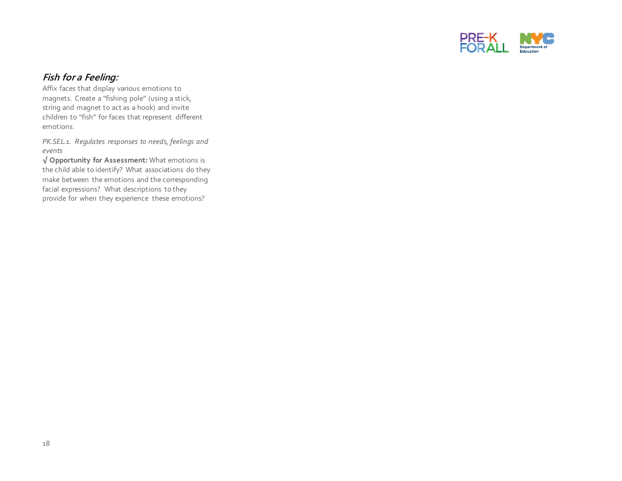

#### **Fish for a Feeling:**

Affix faces that display various emotions to magnets. Create a "fishing pole" (using a stick, string and magnet to act as a hook) and invite children to "fish" for faces that represent different emotions.

*PK.SEL.1. Regulates responses to needs, feelings and events*

**√ Opportunity for Assessment:** What emotions is the child able to identify? What associations do they make between the emotions and the corresponding facial expressions? What descriptions to they provide for when they experience these emotions?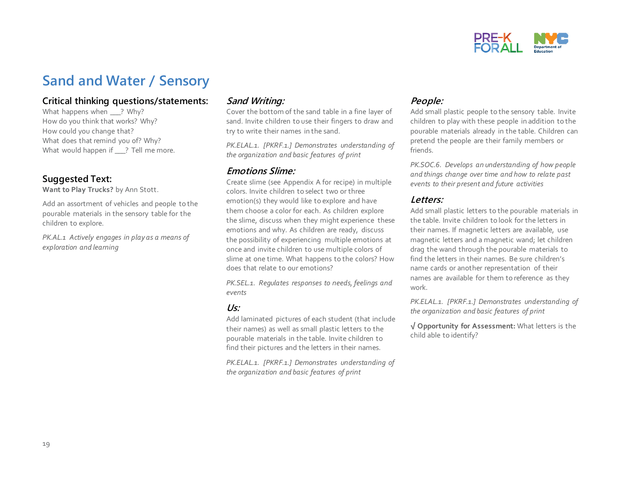

### **Sand and Water / Sensory**

#### **Critical thinking questions/statements:**

What happens when \_\_\_? Why? How do you think that works? Why? How could you change that? What does that remind you of? Why? What would happen if \_\_\_? Tell me more.

#### **Suggested Text:**

**Want to Play Trucks?** by Ann Stott.

Add an assortment of vehicles and people to the pourable materials in the sensory table for the children to explore.

*PK.AL.1 Actively engages in play as a means of exploration and learning*

#### **Sand Writing:**

Cover the bottom of the sand table in a fine layer of sand. Invite children to use their fingers to draw and try to write their names in the sand.

*PK.ELAL.1. [PKRF.1.] Demonstrates understanding of the organization and basic features of print*

#### **Emotions Slime:**

Create slime (see Appendix A for recipe) in multiple colors. Invite children to select two or three emotion(s) they would like to explore and have them choose a color for each. As children explore the slime, discuss when they might experience these emotions and why. As children are ready, discuss the possibility of experiencing multiple emotions at once and invite children to use multiple colors of slime at one time. What happens to the colors? How does that relate to our emotions?

*PK.SEL.1. Regulates responses to needs, feelings and events*

#### **Us:**

Add laminated pictures of each student (that include their names) as well as small plastic letters to the pourable materials in the table. Invite children to find their pictures and the letters in their names.

*PK.ELAL.1. [PKRF.1.] Demonstrates understanding of the organization and basic features of print*

#### **People:**

Add small plastic people to the sensory table. Invite children to play with these people in addition to the pourable materials already in the table. Children can pretend the people are their family members or friends.

*PK.SOC.6. Develops an understanding of how people and things change over time and how to relate past events to their present and future activities*

#### **Letters:**

Add small plastic letters to the pourable materials in the table. Invite children to look for the letters in their names. If magnetic letters are available, use magnetic letters and a magnetic wand; let children drag the wand through the pourable materials to find the letters in their names. Be sure children's name cards or another representation of their names are available for them to reference as they work.

*PK.ELAL.1. [PKRF.1.] Demonstrates understanding of the organization and basic features of print*

**√ Opportunity for Assessment:** What letters is the child able to identify?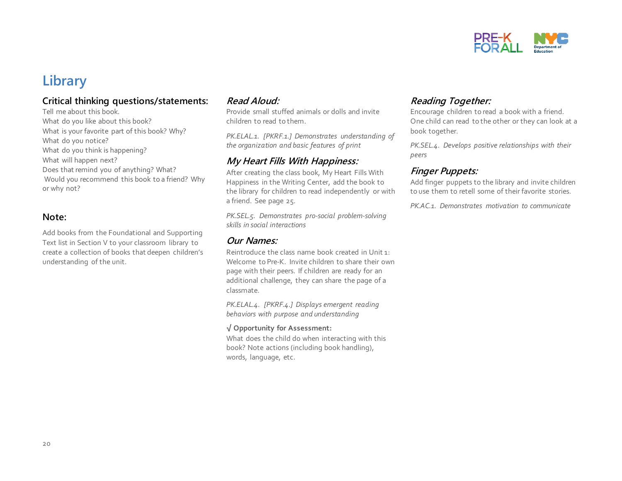

### **Library**

#### **Critical thinking questions/statements:**

Tell me about this book. What do you like about this book? What is your favorite part of this book? Why? What do you notice? What do you think is happening? What will happen next? Does that remind you of anything? What? Would you recommend this book to a friend? Why or why not?

#### **Note:**

Add books from the Foundational and Supporting Text list in Section V to your classroom library to create a collection of books that deepen children's understanding of the unit.

#### **Read Aloud:**

Provide small stuffed animals or dolls and invite children to read to them.

*PK.ELAL.1. [PKRF.1.] Demonstrates understanding of the organization and basic features of print*

#### **My Heart Fills With Happiness:**

After creating the class book, My Heart Fills With Happiness in the Writing Center, add the book to the library for children to read independently or with a friend. See page 25.

*PK.SEL.5. Demonstrates pro-social problem-solving skills in social interactions*

#### **Our Names:**

Reintroduce the class name book created in Unit 1: Welcome to Pre-K. Invite children to share their own page with their peers. If children are ready for an additional challenge, they can share the page of a classmate.

*PK.ELAL.4. [PKRF.4.] Displays emergent reading behaviors with purpose and understanding*

#### **√ Opportunity for Assessment:**

What does the child do when interacting with this book? Note actions (including book handling), words, language, etc.

#### **Reading Together:**

Encourage children to read a book with a friend. One child can read to the other or they can look at a book together.

*PK.SEL.4. Develops positive relationships with their peers*

#### **Finger Puppets:**

Add finger puppets to the library and invite children to use them to retell some of their favorite stories.

*PK.AC.1. Demonstrates motivation to communicate*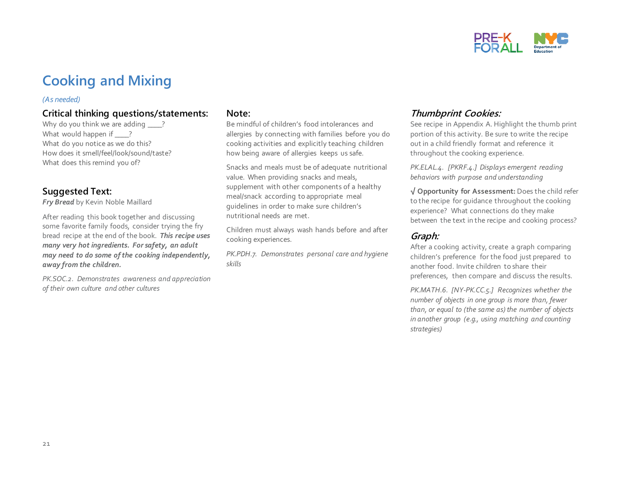

## **Cooking and Mixing**

#### *(As needed)*

#### **Critical thinking questions/statements:**

Why do you think we are adding ? What would happen if ? What do you notice as we do this? How does it smell/feel/look/sound/taste? What does this remind you of?

#### **Suggested Text:**

*Fry Bread* by Kevin Noble Maillard

After reading this book together and discussing some favorite family foods, consider trying the fry bread recipe at the end of the book. *This recipe uses many very hot ingredients. For safety, an adult may need to do some of the cooking independently, away from the children.* 

*PK.SOC.2. Demonstrates awareness and appreciation of their own culture and other cultures*

#### **Note:**

Be mindful of children's food intolerances and allergies by connecting with families before you do cooking activities and explicitly teaching children how being aware of allergies keeps us safe.

Snacks and meals must be of adequate nutritional value. When providing snacks and meals, supplement with other components of a healthy meal/snack according to appropriate meal guidelines in order to make sure children's nutritional needs are met.

Children must always wash hands before and after cooking experiences.

*PK.PDH.7. Demonstrates personal care and hygiene skills*

#### **Thumbprint Cookies:**

See recipe in Appendix A. Highlight the thumb print portion of this activity. Be sure to write the recipe out in a child friendly format and reference it throughout the cooking experience.

*PK.ELAL.4. [PKRF.4.] Displays emergent reading behaviors with purpose and understanding*

**√ Opportunity for Assessment:** Does the child refer to the recipe for guidance throughout the cooking experience? What connections do they make between the text in the recipe and cooking process?

#### **Graph:**

After a cooking activity, create a graph comparing children's preference for the food just prepared to another food. Invite children to share their preferences, then compare and discuss the results.

*PK.MATH.6. [NY-PK.CC.5.] Recognizes whether the number of objects in one group is more than, fewer than, or equal to (the same as) the number of objects in another group (e.g., using matching and counting strategies)*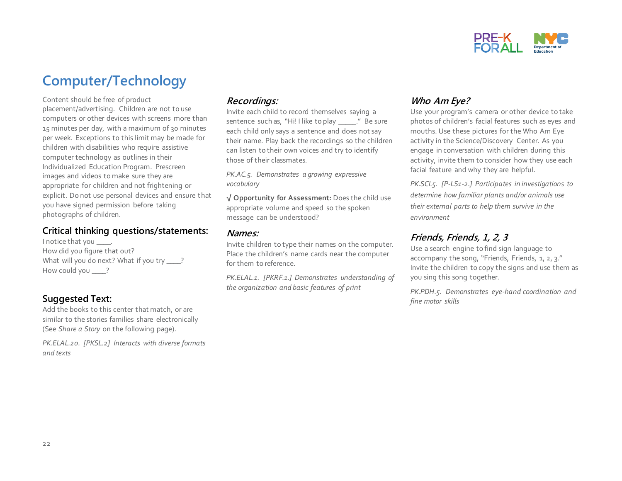

## **Computer/Technology**

Content should be free of product placement/advertising. Children are not to use computers or other devices with screens more than 15 minutes per day, with a maximum of 30 minutes per week. Exceptions to this limit may be made for children with disabilities who require assistive computer technology as outlines in their Individualized Education Program. Prescreen images and videos to make sure they are appropriate for children and not frightening or explicit. Do not use personal devices and ensure that you have signed permission before taking photographs of children.

#### **Critical thinking questions/statements:**

I notice that you  $\qquad$ . How did you figure that out? What will you do next? What if you try \_\_\_\_? How could you <u>\_\_\_\_?</u>

#### **Suggested Text:**

Add the books to this center that match, or are similar to the stories families share electronically (See *Share a Story* on the following page).

*PK.ELAL.20. [PKSL.2] Interacts with diverse formats and texts*

#### **Recordings:**

Invite each child to record themselves saying a sentence such as, "Hi! I like to play \_\_\_\_\_." Be sure each child only says a sentence and does not say their name. Play back the recordings so the children can listen to their own voices and try to identify those of their classmates*.*

*PK.AC.5. Demonstrates a growing expressive vocabulary*

**√ Opportunity for Assessment:** Does the child use appropriate volume and speed so the spoken message can be understood?

#### **Names:**

Invite children to type their names on the computer. Place the children's name cards near the computer for them to reference.

*PK.ELAL.1. [PKRF.1.] Demonstrates understanding of the organization and basic features of print*

#### **Who Am Eye?**

Use your program's camera or other device to take photos of children's facial features such as eyes and mouths. Use these pictures for the Who Am Eye activity in the Science/Discovery Center. As you engage in conversation with children during this activity, invite them to consider how they use each facial feature and why they are helpful.

*PK.SCI.5. [P-LS1-2.] Participates in investigations to determine how familiar plants and/or animals use their external parts to help them survive in the environment* 

#### **Friends, Friends, 1, 2, 3**

Use a search engine to find sign language to accompany the song, "Friends, Friends, 1, 2, 3." Invite the children to copy the signs and use them as you sing this song together.

*PK.PDH.5. Demonstrates eye-hand coordination and fine motor skills*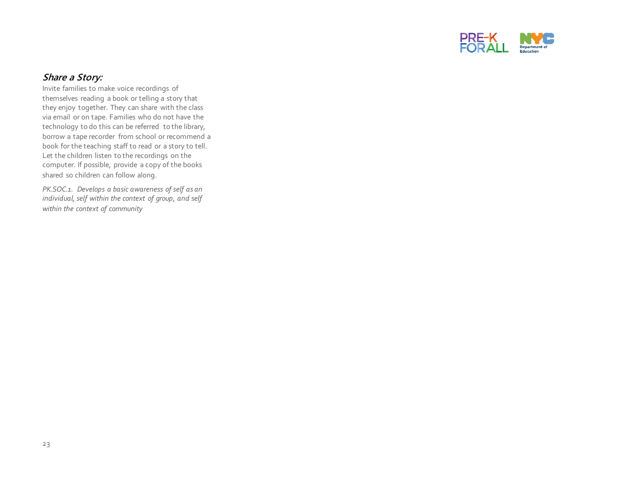

#### **Share a Story:**

Invite families to make voice recordings of themselves reading a book or telling a story that they enjoy together. They can share with the class via email or on tape. Families who do not have the technology to do this can be referred to the library, borrow a tape recorder from school or recommend a book for the teaching staff to read or a story to tell. Let the children listen to the recordings on the computer. If possible, provide a copy of the books shared so children can follow along.

*PK.SOC.1. Develops a basic awareness of self as an individual, self within the context of group, and self within the context of community*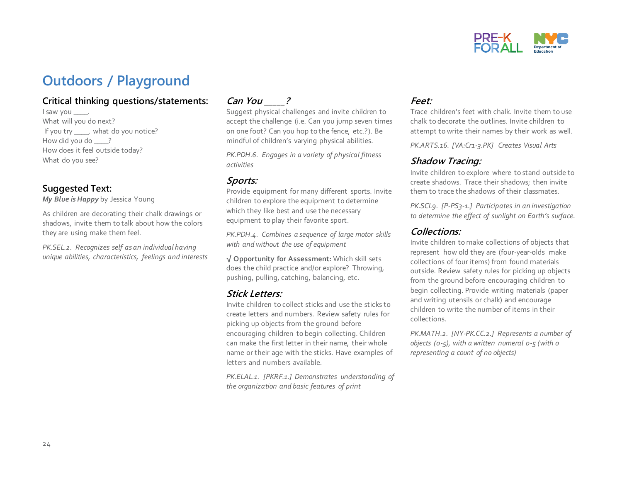

## **Outdoors / Playground**

#### **Critical thinking questions/statements:**

I saw you \_\_\_\_\_. What will you do next? If you try \_\_\_\_, what do you notice? How did you do ? How does it feel outside today? What do you see?

#### **Suggested Text:**

*My Blue is Happy* by Jessica Young

As children are decorating their chalk drawings or shadows, invite them to talk about how the colors they are using make them feel.

*PK.SEL.2. Recognizes self as an individual having unique abilities, characteristics, feelings and interests* 

#### **Can You \_\_\_\_\_?**

Suggest physical challenges and invite children to accept the challenge (i.e. Can you jump seven times on one foot? Can you hop to the fence, etc.?). Be mindful of children's varying physical abilities.

*PK.PDH.6. Engages in a variety of physical fitness activities*

#### **Sports:**

Provide equipment for many different sports. Invite children to explore the equipment to determine which they like best and use the necessary equipment to play their favorite sport.

*PK.PDH.4. Combines a sequence of large motor skills with and without the use of equipment*

**√ Opportunity for Assessment:** Which skill sets does the child practice and/or explore? Throwing, pushing, pulling, catching, balancing, etc.

#### **Stick Letters:**

Invite children to collect sticks and use the sticks to create letters and numbers. Review safety rules for picking up objects from the ground before encouraging children to begin collecting. Children can make the first letter in their name, their whole name or their age with the sticks. Have examples of letters and numbers available.

*PK.ELAL.1. [PKRF.1.] Demonstrates understanding of the organization and basic features of print*

#### **Feet:**

Trace children's feet with chalk. Invite them to use chalk to decorate the outlines. Invite children to attempt to write their names by their work as well.

*PK.ARTS.16. [VA:Cr1-3.PK] Creates Visual Arts*

#### **Shadow Tracing:**

Invite children to explore where to stand outside to create shadows. Trace their shadows; then invite them to trace the shadows of their classmates.

*PK.SCI.9. [P-PS3-1.] Participates in an investigation to determine the effect of sunlight on Earth's surface.* 

#### **Collections:**

Invite children to make collections of objects that represent how old they are (four-year-olds make collections of four items) from found materials outside. Review safety rules for picking up objects from the ground before encouraging children to begin collecting. Provide writing materials (paper and writing utensils or chalk) and encourage children to write the number of items in their collections.

*PK.MATH.2. [NY-PK.CC.2.] Represents a number of objects (0-5), with a written numeral 0-5 (with 0 representing a count of no objects)*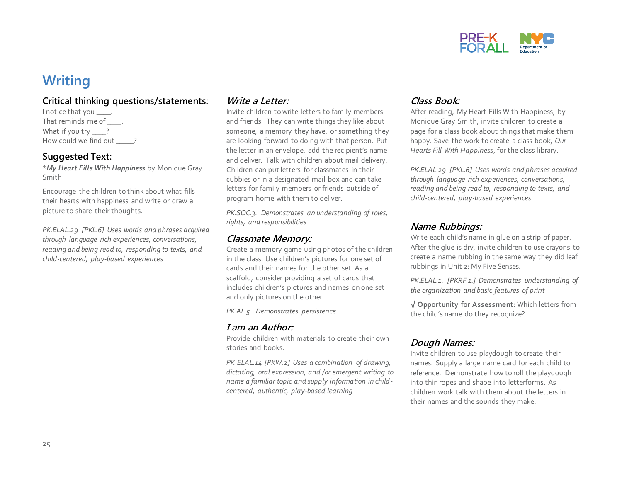

## **Writing**

#### **Critical thinking questions/statements:**

I notice that you \_\_\_\_. That reminds me of . What if you try \_\_\_\_? How could we find out ?

#### **Suggested Text:**

\**My Heart Fills With Happiness* by Monique Gray Smith

Encourage the children to think about what fills their hearts with happiness and write or draw a picture to share their thoughts.

*PK.ELAL.29 [PKL.6] Uses words and phrases acquired through language rich experiences, conversations, reading and being read to, responding to texts, and child-centered, play-based experiences* 

#### **Write a Letter:**

Invite children to write letters to family members and friends. They can write things they like about someone, a memory they have, or something they are looking forward to doing with that person. Put the letter in an envelope, add the recipient's name and deliver. Talk with children about mail delivery. Children can put letters for classmates in their cubbies or in a designated mail box and can take letters for family members or friends outside of program home with them to deliver.

*PK.SOC.3. Demonstrates an understanding of roles, rights, and responsibilities*

#### **Classmate Memory:**

Create a memory game using photos of the children in the class. Use children's pictures for one set of cards and their names for the other set. As a scaffold, consider providing a set of cards that includes children's pictures and names on one set and only pictures on the other.

*PK.AL.5. Demonstrates persistence*

#### **I am an Author:**

Provide children with materials to create their own stories and books.

*PK ELAL.14 [PKW.2] Uses a combination of drawing, dictating, oral expression, and /or emergent writing to name a familiar topic and supply information in childcentered, authentic, play-based learning*

#### **Class Book:**

After reading, My Heart Fills With Happiness, by Monique Gray Smith, invite children to create a page for a class book about things that make them happy. Save the work to create a class book, *Our Hearts Fill With Happiness*, for the class library.

*PK.ELAL.29 [PKL.6] Uses words and phrases acquired through language rich experiences, conversations, reading and being read to, responding to texts, and child-centered, play-based experiences* 

#### **Name Rubbings:**

Write each child's name in glue on a strip of paper. After the glue is dry, invite children to use crayons to create a name rubbing in the same way they did leaf rubbings in Unit 2: My Five Senses.

*PK.ELAL.1. [PKRF.1.] Demonstrates understanding of the organization and basic features of print*

**√ Opportunity for Assessment:** Which letters from the child's name do they recognize?

#### **Dough Names:**

Invite children to use playdough to create their names. Supply a large name card for each child to reference. Demonstrate how to roll the playdough into thin ropes and shape into letterforms. As children work talk with them about the letters in their names and the sounds they make.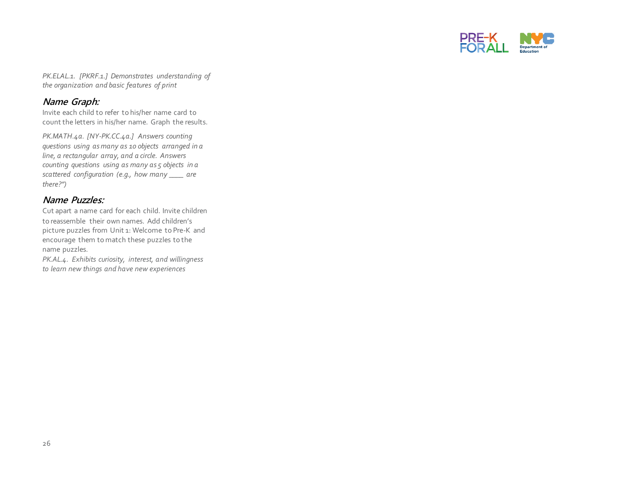

*PK.ELAL.1. [PKRF.1.] Demonstrates understanding of the organization and basic features of print*

#### **Name Graph:**

Invite each child to refer to his/her name card to count the letters in his/her name. Graph the results.

*PK.MATH.4a. [NY-PK.CC.4a.] Answers counting questions using as many as 10 objects arranged in a line, a rectangular array, and a circle. Answers counting questions using as many as 5 objects in a scattered configuration (e.g., how many \_\_\_\_ are there?")*

#### **Name Puzzles:**

Cut apart a name card for each child. Invite children to reassemble their own names. Add children's picture puzzles from Unit 1: Welcome to Pre-K and encourage them to match these puzzles to the name puzzles.

*PK.AL.4. Exhibits curiosity, interest, and willingness to learn new things and have new experiences*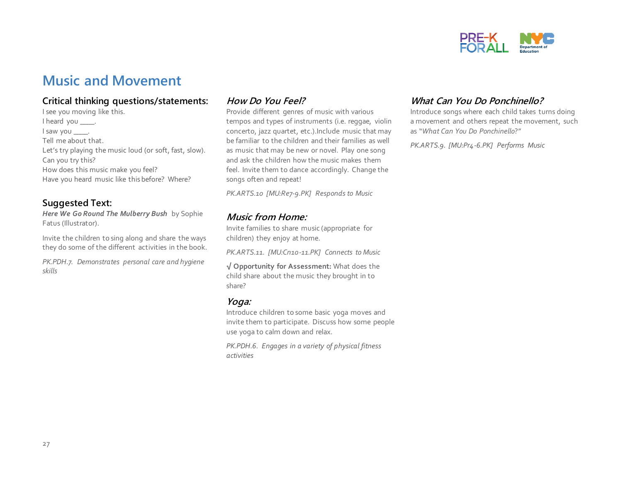

### **Music and Movement**

#### **Critical thinking questions/statements:**

I see you moving like this. I heard you \_\_\_\_\_. I saw you \_\_\_\_\_. Tell me about that. Let's try playing the music loud (or soft, fast, slow). Can you try this? How does this music make you feel? Have you heard music like this before? Where?

#### **Suggested Text:**

*Here We Go Round The Mulberry Bush* by Sophie Fatus (Illustrator).

Invite the children to sing along and share the ways they do some of the different activities in the book.

*PK.PDH.7. Demonstrates personal care and hygiene skills*

#### **How Do You Feel?**

Provide different genres of music with various tempos and types of instruments (i.e. reggae, violin concerto, jazz quartet, etc.).Include music that may be familiar to the children and their families as well as music that may be new or novel. Play one song and ask the children how the music makes them feel. Invite them to dance accordingly. Change the songs often and repeat!

*PK.ARTS.10 [MU:Re7-9.PK] Responds to Music*

#### **Music from Home:**

Invite families to share music (appropriate for children) they enjoy at home.

*PK.ARTS.11. [MU:Cn10-11.PK] Connects to Music* 

**√ Opportunity for Assessment:** What does the child share about the music they brought in to share?

#### **Yoga:**

Introduce children to some basic yoga moves and invite them to participate. Discuss how some people use yoga to calm down and relax.

*PK.PDH.6. Engages in a variety of physical fitness activities*

#### **What Can You Do Ponchinello?**

Introduce songs where each child takes turns doing a movement and others repeat the movement, such as "*What Can You Do Ponchinello*?"

*PK.ARTS.9. [MU:Pr4-6.PK] Performs Music*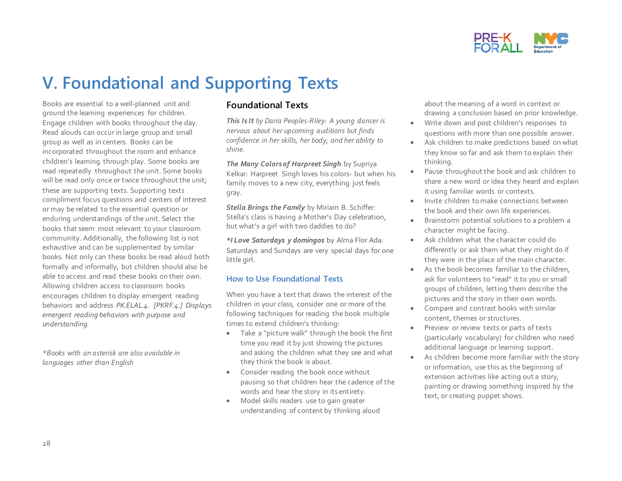

## **V. Foundational and Supporting Texts**

Books are essential to a well-planned unit and ground the learning experiences for children. Engage children with books throughout the day. Read alouds can occur in large group and small group as well as in centers. Books can be incorporated throughout the room and enhance children's learning through play. Some books are read repeatedly throughout the unit. Some books will be read only once or twice throughout the unit; these are supporting texts. Supporting texts compliment focus questions and centers of interest or may be related to the essential question or enduring understandings of the unit. Select the books that seem most relevant to your classroom community. Additionally, the following list is not exhaustive and can be supplemented by similar books. Not only can these books be read aloud both formally and informally, but children should also be able to access and read these books on their own. Allowing children access to classroom books encourages children to display emergent reading behaviors and address *PK.ELAL.4. [PKRF.4.] Displays emergent reading behaviors with purpose and understanding.*

*\*Books with an asterisk are also available in languages other than English*

#### **Foundational Texts**

*This Is It by Daria Peoples-Riley: A young dancer is nervous about her upcoming auditions but finds confidence in her skills, her body, and her ability to shine.* 

*The Many Colors of Harpreet Singh* by Supriya Kelkar: Harpreet Singh loves his colors- but when his family moves to a new city, everything just feels gray.

*Stella Brings the Family* by Miriam B. Schiffer: Stella's class is having a Mother's Day celebration, but what's a girl with two daddies to do?

*\*I Love Saturdays y domingos* by Alma Flor Ada: Saturdays and Sundays are very special days for one little girl.

#### **How to Use Foundational Texts**

When you have a text that draws the interest of the children in your class, consider one or more of the following techniques for reading the book multiple times to extend children's thinking:

- Take a "picture walk" through the book the first time you read it by just showing the pictures and asking the children what they see and what they think the book is about.
- Consider reading the book once without pausing so that children hear the cadence of the words and hear the story in its entirety.
- Model skills readers use to gain greater understanding of content by thinking aloud

about the meaning of a word in context or drawing a conclusion based on prior knowledge.

- Write down and post children's responses to questions with more than one possible answer.
- Ask children to make predictions based on what they know so far and ask them to explain their thinking.
- Pause throughout the book and ask children to share a new word or idea they heard and explain it using familiar words or contexts.
- Invite children to make connections between the book and their own life experiences.
- Brainstorm potential solutions to a problem a character might be facing.
- Ask children what the character could do differently or ask them what they might do if they were in the place of the main character.
- As the book becomes familiar to the children, ask for volunteers to "read" it to you or small groups of children, letting them describe the pictures and the story in their own words.
- Compare and contrast books with similar content, themes or structures.
- Preview or review texts or parts of texts (particularly vocabulary) for children who need additional language or learning support.
- As children become more familiar with the story or information, use this as the beginning of extension activities like acting out a story, painting or drawing something inspired by the text, or creating puppet shows.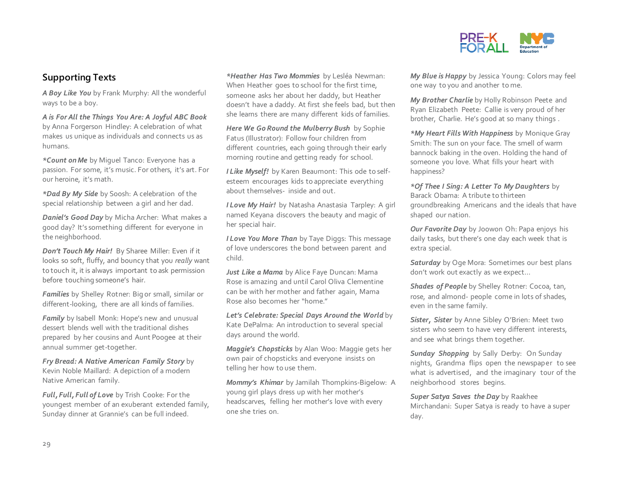

#### **Supporting Texts**

*A Boy Like You* by Frank Murphy: All the wonderful ways to be a boy.

*A is For All the Things You Are: A Joyful ABC Book*  by Anna Forgerson Hindley: A celebration of what makes us unique as individuals and connects us as humans.

*\*Count on Me* by Miguel Tanco: Everyone has a passion. For some, it's music. For others, it's art. For our heroine, it's math.

*\*Dad By My Side* by Soosh: A celebration of the special relationship between a girl and her dad.

*Daniel's Good Day* by Micha Archer: What makes a good day? It's something different for everyone in the neighborhood.

*Don't Touch My Hair!* By Sharee Miller: Even if it looks so soft, fluffy, and bouncy that you *really* want to touch it, it is always important to ask permission before touching someone's hair.

*Families* by Shelley Rotner: Big or small, similar or different-looking, there are all kinds of families.

*Family* by Isabell Monk: Hope's new and unusual dessert blends well with the traditional dishes prepared by her cousins and Aunt Poogee at their annual summer get-together.

*Fry Bread: A Native American Family Story* by Kevin Noble Maillard: A depiction of a modern Native American family.

*Full, Full, Full of Love* by Trish Cooke: For the youngest member of an exuberant extended family, Sunday dinner at Grannie's can be full indeed.

*\*Heather Has Two Mommies* by Lesléa Newman: When Heather goes to school for the first time, someone asks her about her daddy, but Heather doesn't have a daddy. At first she feels bad, but then she learns there are many different kids of families.

*Here We Go Round the Mulberry Bush* by Sophie Fatus (Illustrator): Follow four children from different countries, each going through their early morning routine and getting ready for school.

*I Like Myself!* by Karen Beaumont: This ode to selfesteem encourages kids to appreciate everything about themselves- inside and out.

*I Love My Hair!* by Natasha Anastasia Tarpley: A girl named Keyana discovers the beauty and magic of her special hair.

*I Love You More Than* by Taye Diggs: This message of love underscores the bond between parent and child.

*Just Like a Mama* by Alice Faye Duncan: Mama Rose is amazing and until Carol Oliva Clementine can be with her mother and father again, Mama Rose also becomes her "home."

*Let's Celebrate: Special Days Around the World* by Kate DePalma: An introduction to several special days around the world.

*Maggie's Chopsticks* by Alan Woo: Maggie gets her own pair of chopsticks and everyone insists on telling her how to use them.

*Mommy's Khimar* by Jamilah Thompkins-Bigelow: A young girl plays dress up with her mother's headscarves, felling her mother's love with every one she tries on.

*My Blue is Happy* by Jessica Young: Colors may feel one way to you and another to me.

*My Brother Charlie* by Holly Robinson Peete and Ryan Elizabeth Peete: Callie is very proud of her brother, Charlie. He's good at so many things .

*\*My Heart Fills With Happiness* by Monique Gray Smith: The sun on your face. The smell of warm bannock baking in the oven. Holding the hand of someone you love. What fills your heart with happiness?

*\*Of Thee I Sing: A Letter To My Daughters* by Barack Obama: A tribute to thirteen groundbreaking Americans and the ideals that have shaped our nation.

*Our Favorite Day* by Joowon Oh: Papa enjoys his daily tasks, but there's one day each week that is extra special.

*Saturday* by Oge Mora: Sometimes our best plans don't work out exactly as we expect…

*Shades of People* by Shelley Rotner: Cocoa, tan, rose, and almond- people come in lots of shades, even in the same family.

*Sister, Sister* by Anne Sibley O'Brien: Meet two sisters who seem to have very different interests, and see what brings them together.

*Sunday Shopping* by Sally Derby: On Sunday nights, Grandma flips open the newspaper to see what is advertised, and the imaginary tour of the neighborhood stores begins.

*Super Satya Saves the Day* by Raakhee Mirchandani: Super Satya is ready to have a super day.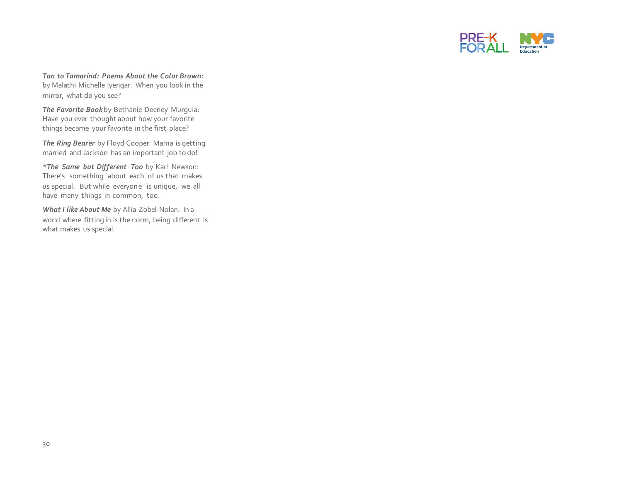

*Tan to Tamarind: Poems About the Color Brown:*  by Malathi Michelle Iyengar: When you look in the mirror, what do you see?

*The Favorite Book* by Bethanie Deeney Murguia: Have you ever thought about how your favorite things became your favorite in the first place?

*The Ring Bearer* by Floyd Cooper: Mama is getting married and Jackson has an important job to do!

*\*The Same but Different Too* by Karl Newson: There's something about each of us that makes us special. But while everyone is unique, we all have many things in common, too.

*What I like About Me* by Allia Zobel-Nolan: In a world where fitting in is the norm, being different is what makes us special.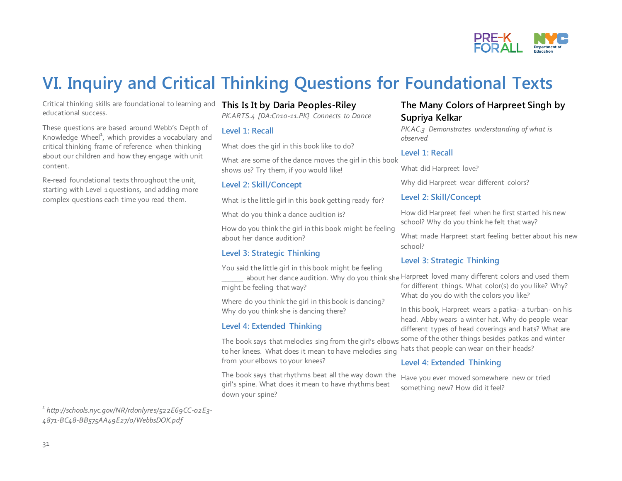

## **VI. Inquiry and Critical Thinking Questions for Foundational Texts**

Critical thinking skills are foundational to learning and educational success.

These questions are based around Webb's Depth of Knowledge Wheel<sup>1</sup>, which provides a vocabulary and critical thinking frame of reference when thinking about our children and how they engage with unit content.

Re-read foundational texts throughout the unit, starting with Level 1 questions, and adding more complex questions each time you read them.

#### **This Is It by Daria Peoples-Riley**

*PK.ARTS.4 [DA:Cn10-11.PK} Connects to Dance*

#### **Level 1: Recall**

What does the girl in this book like to do?

What are some of the dance moves the girl in this book shows us? Try them, if you would like!

#### **Level 2: Skill/Concept**

What is the little girl in this book getting ready for?

What do you think a dance audition is?

How do you think the girl in this book might be feeling about her dance audition?

#### **Level 3: Strategic Thinking**

You said the little girl in this book might be feeling

might be feeling that way?

Where do you think the girl in this book is dancing? Why do you think she is dancing there?

#### **Level 4: Extended Thinking**

to her knees. What does it mean to have melodies sing from your elbows to your knees?

The book says that rhythms beat all the way down the girl's spine. What does it mean to have rhythms beat down your spine?

#### **The Many Colors of Harpreet Singh by Supriya Kelkar**

*PK.AC.3 Demonstrates understanding of what is observed*

#### **Level 1: Recall**

What did Harpreet love?

Why did Harpreet wear different colors?

#### **Level 2: Skill/Concept**

How did Harpreet feel when he first started his new school? Why do you think he felt that way?

What made Harpreet start feeling better about his new school?

#### **Level 3: Strategic Thinking**

**\_\_\_\_\_\_** about her dance audition. Why do you think she Harpreet loved many different colors and used them for different things. What color(s) do you like? Why? What do you do with the colors you like?

The book says that melodies sing from the girl's elbows some of the other things besides patkas and winter In this book, Harpreet wears a patka- a turban- on his head. Abby wears a winter hat. Why do people wear different types of head coverings and hats? What are hats that people can wear on their heads?

#### **Level 4: Extended Thinking**

Have you ever moved somewhere new or tried something new? How did it feel?

 $\overline{a}$ 

*<sup>1</sup> http://schools.nyc.gov/NR/rdonlyres/522E69CC-02E3- 4871-BC48-BB575AA49E27/0/WebbsDOK.pdf*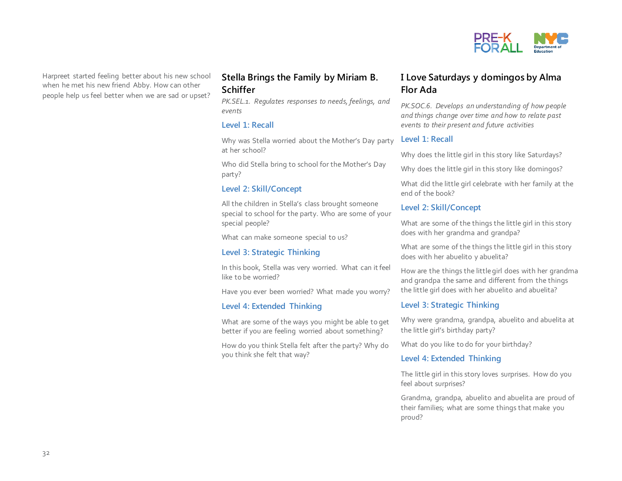

Harpreet started feeling better about his new school when he met his new friend Abby. How can other people help us feel better when we are sad or upset?

#### **Stella Brings the Family by Miriam B. Schiffer**

*PK.SEL.1. Regulates responses to needs, feelings, and events*

#### **Level 1: Recall**

Why was Stella worried about the Mother's Day party at her school?

Who did Stella bring to school for the Mother's Day party?

#### **Level 2: Skill/Concept**

All the children in Stella's class brought someone special to school for the party. Who are some of your special people?

What can make someone special to us?

#### **Level 3: Strategic Thinking**

In this book, Stella was very worried. What can it feel like to be worried?

Have you ever been worried? What made you worry?

#### **Level 4: Extended Thinking**

What are some of the ways you might be able to get better if you are feeling worried about something?

How do you think Stella felt after the party? Why do you think she felt that way?

#### **I Love Saturdays y domingos by Alma Flor Ada**

*PK.SOC.6. Develops an understanding of how people and things change over time and how to relate past events to their present and future activities*

#### **Level 1: Recall**

Why does the little girl in this story like Saturdays?

Why does the little girl in this story like domingos?

What did the little girl celebrate with her family at the end of the book?

#### **Level 2: Skill/Concept**

What are some of the things the little girl in this story does with her grandma and grandpa?

What are some of the things the little girl in this story does with her abuelito y abuelita?

How are the things the little girl does with her grandma and grandpa the same and different from the things the little girl does with her abuelito and abuelita?

#### **Level 3: Strategic Thinking**

Why were grandma, grandpa, abuelito and abuelita at the little girl's birthday party?

What do you like to do for your birthday?

#### **Level 4: Extended Thinking**

The little girl in this story loves surprises. How do you feel about surprises?

Grandma, grandpa, abuelito and abuelita are proud of their families; what are some things that make you proud?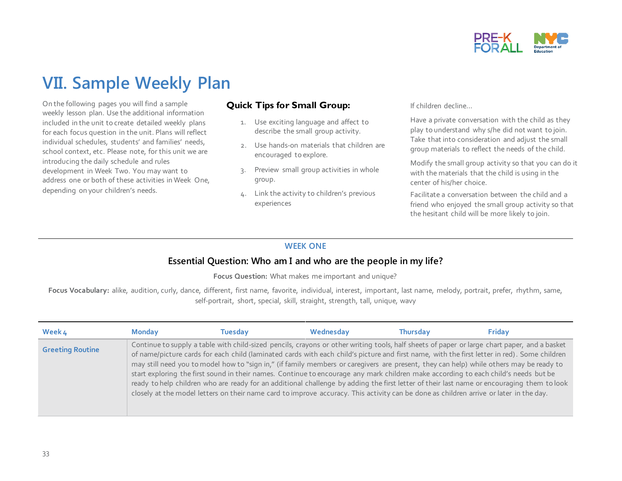

## **VII. Sample Weekly Plan**

On the following pages you will find a sample weekly lesson plan. Use the additional information included in the unit to create detailed weekly plans for each focus question in the unit. Plans will reflect individual schedules, students' and families' needs, school context, etc. Please note, for this unit we are introducing the daily schedule and rules development in Week Two. You may want to address one or both of these activities in Week One, depending on your children's needs.

#### **Quick Tips for Small Group:**

- 1. Use exciting language and affect to describe the small group activity.
- 2. Use hands-on materials that children are encouraged to explore.
- 3. Preview small group activities in whole group.
- 4. Link the activity to children's previous experiences

If children decline…

Have a private conversation with the child as they play to understand why s/he did not want to join. Take that into consideration and adjust the small group materials to reflect the needs of the child.

Modify the small group activity so that you can do it with the materials that the child is using in the center of his/her choice.

Facilitate a conversation between the child and a friend who enjoyed the small group activity so that the hesitant child will be more likely to join.

#### **WEEK ONE**

#### **Essential Question: Who am I and who are the people in my life?**

**Focus Question:** What makes me important and unique?

**Focus Vocabulary:** alike, audition, curly, dance, different, first name, favorite, individual, interest, important, last name, melody, portrait, prefer, rhythm, same, self-portrait, short, special, skill, straight, strength, tall, unique, wavy

| Week 4                  | <b>Monday</b> | Tuesday | Wednesday | <b>Thursday</b>                                                                                                                                                                                                                                                                                                                                                                                                                                                                                                                                                                                                                                                                                                                                                                                                                                                        | Friday |
|-------------------------|---------------|---------|-----------|------------------------------------------------------------------------------------------------------------------------------------------------------------------------------------------------------------------------------------------------------------------------------------------------------------------------------------------------------------------------------------------------------------------------------------------------------------------------------------------------------------------------------------------------------------------------------------------------------------------------------------------------------------------------------------------------------------------------------------------------------------------------------------------------------------------------------------------------------------------------|--------|
| <b>Greeting Routine</b> |               |         |           | Continue to supply a table with child-sized pencils, crayons or other writing tools, half sheets of paper or large chart paper, and a basket<br>of name/picture cards for each child (laminated cards with each child's picture and first name, with the first letter in red). Some children<br>may still need you to model how to "sign in," (if family members or caregivers are present, they can help) while others may be ready to<br>start exploring the first sound in their names. Continue to encourage any mark children make according to each child's needs but be<br>ready to help children who are ready for an additional challenge by adding the first letter of their last name or encouraging them to look<br>closely at the model letters on their name card to improve accuracy. This activity can be done as children arrive or later in the day. |        |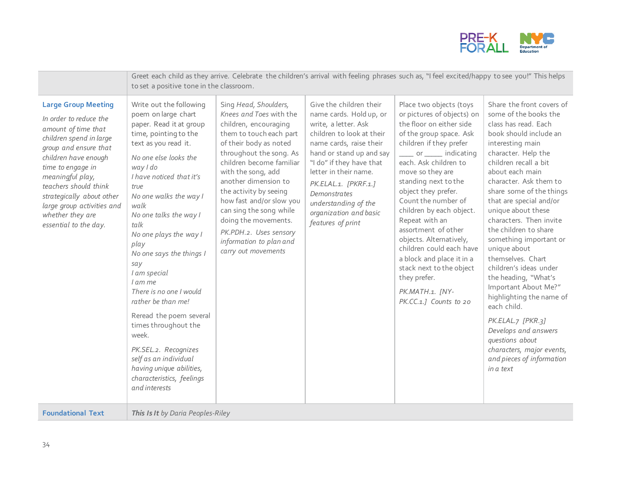

|                                                                                                                                                                                                                                                                                                                                   | Greet each child as they arrive. Celebrate the children's arrival with feeling phrases such as, "I feel excited/happy to see you!" This helps<br>to set a positive tone in the classroom.                                                                                                                                                                                                                                                                                                                                                                                                                       |                                                                                                                                                                                                                                                                                                                                                                                                                          |                                                                                                                                                                                                                                                                                                                                           |                                                                                                                                                                                                                                                                                                                                                                                                                                                                                                                                            |                                                                                                                                                                                                                                                                                                                                                                                                                                                                                                                                                                                                                                                                                   |  |
|-----------------------------------------------------------------------------------------------------------------------------------------------------------------------------------------------------------------------------------------------------------------------------------------------------------------------------------|-----------------------------------------------------------------------------------------------------------------------------------------------------------------------------------------------------------------------------------------------------------------------------------------------------------------------------------------------------------------------------------------------------------------------------------------------------------------------------------------------------------------------------------------------------------------------------------------------------------------|--------------------------------------------------------------------------------------------------------------------------------------------------------------------------------------------------------------------------------------------------------------------------------------------------------------------------------------------------------------------------------------------------------------------------|-------------------------------------------------------------------------------------------------------------------------------------------------------------------------------------------------------------------------------------------------------------------------------------------------------------------------------------------|--------------------------------------------------------------------------------------------------------------------------------------------------------------------------------------------------------------------------------------------------------------------------------------------------------------------------------------------------------------------------------------------------------------------------------------------------------------------------------------------------------------------------------------------|-----------------------------------------------------------------------------------------------------------------------------------------------------------------------------------------------------------------------------------------------------------------------------------------------------------------------------------------------------------------------------------------------------------------------------------------------------------------------------------------------------------------------------------------------------------------------------------------------------------------------------------------------------------------------------------|--|
| <b>Large Group Meeting</b><br>In order to reduce the<br>amount of time that<br>children spend in large<br>group and ensure that<br>children have enough<br>time to engage in<br>meaningful play,<br>teachers should think<br>strategically about other<br>large group activities and<br>whether they are<br>essential to the day. | Write out the following<br>poem on large chart<br>paper. Read it at group<br>time, pointing to the<br>text as you read it.<br>No one else looks the<br>way I do<br>I have noticed that it's<br>true<br>No one walks the way I<br>walk<br>No one talks the way I<br>talk<br>No one plays the way I<br>play<br>No one says the things I<br>say<br>I am special<br>I am me<br>There is no one I would<br>rather be than me!<br>Reread the poem several<br>times throughout the<br>week.<br>PK.SEL.2. Recognizes<br>self as an individual<br>having unique abilities,<br>characteristics, feelings<br>and interests | Sing Head, Shoulders,<br>Knees and Toes with the<br>children, encouraging<br>them to touch each part<br>of their body as noted<br>throughout the song. As<br>children become familiar<br>with the song, add<br>another dimension to<br>the activity by seeing<br>how fast and/or slow you<br>can sing the song while<br>doing the movements.<br>PK.PDH.2. Uses sensory<br>information to plan and<br>carry out movements | Give the children their<br>name cards. Hold up, or<br>write, a letter. Ask<br>children to look at their<br>name cards, raise their<br>hand or stand up and say<br>"I do" if they have that<br>letter in their name.<br>PK.ELAL.1. [PKRF.1.]<br><b>Demonstrates</b><br>understanding of the<br>organization and basic<br>features of print | Place two objects (toys<br>or pictures of objects) on<br>the floor on either side<br>of the group space. Ask<br>children if they prefer<br>_____ or ______ indicating<br>each. Ask children to<br>move so they are<br>standing next to the<br>object they prefer.<br>Count the number of<br>children by each object.<br>Repeat with an<br>assortment of other<br>objects. Alternatively,<br>children could each have<br>a block and place it in a<br>stack next to the object<br>they prefer.<br>PK.MATH.1. [NY-<br>PK.CC.1.1 Counts to 20 | Share the front covers of<br>some of the books the<br>class has read. Each<br>book should include an<br>interesting main<br>character. Help the<br>children recall a bit<br>about each main<br>character. Ask them to<br>share some of the things<br>that are special and/or<br>unique about these<br>characters. Then invite<br>the children to share<br>something important or<br>unique about<br>themselves. Chart<br>children's ideas under<br>the heading, "What's<br>Important About Me?"<br>highlighting the name of<br>each child.<br>PK.ELAL.7 [PKR.3]<br>Develops and answers<br>questions about<br>characters, major events,<br>and pieces of information<br>in a text |  |
| <b>Foundational Text</b>                                                                                                                                                                                                                                                                                                          | This Is It by Daria Peoples-Riley                                                                                                                                                                                                                                                                                                                                                                                                                                                                                                                                                                               |                                                                                                                                                                                                                                                                                                                                                                                                                          |                                                                                                                                                                                                                                                                                                                                           |                                                                                                                                                                                                                                                                                                                                                                                                                                                                                                                                            |                                                                                                                                                                                                                                                                                                                                                                                                                                                                                                                                                                                                                                                                                   |  |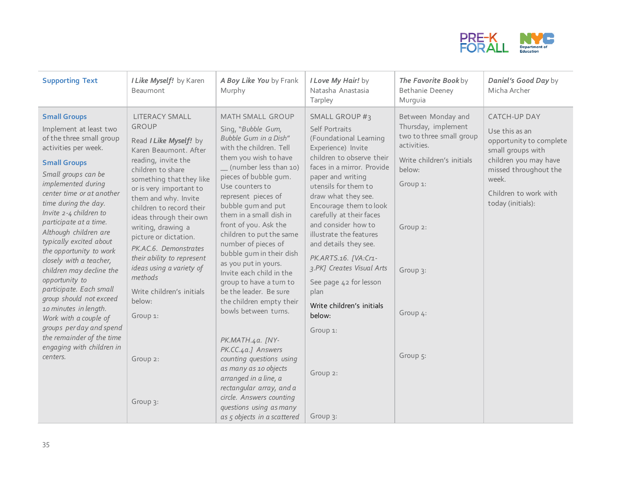

| <b>Supporting Text</b>                                                                                                                                                                                                                                                                                                                                                                                                                                                                                                                                                                                                                           | I Like Myself! by Karen<br>Beaumont                                                                                                                                                                                                                                                                                                                                                                                                                                             | A Boy Like You by Frank<br>Murphy                                                                                                                                                                                                                                                                                                                                                                                                                                                                                                                                                                                                                             | I Love My Hair! by<br>Natasha Anastasia<br>Tarpley                                                                                                                                                                                                                                                                                                                                                                                                                                                     | The Favorite Bookby<br><b>Bethanie Deeney</b><br>Murquia                                                                                                                                | Daniel's Good Day by<br>Micha Archer                                                                                                                                                    |
|--------------------------------------------------------------------------------------------------------------------------------------------------------------------------------------------------------------------------------------------------------------------------------------------------------------------------------------------------------------------------------------------------------------------------------------------------------------------------------------------------------------------------------------------------------------------------------------------------------------------------------------------------|---------------------------------------------------------------------------------------------------------------------------------------------------------------------------------------------------------------------------------------------------------------------------------------------------------------------------------------------------------------------------------------------------------------------------------------------------------------------------------|---------------------------------------------------------------------------------------------------------------------------------------------------------------------------------------------------------------------------------------------------------------------------------------------------------------------------------------------------------------------------------------------------------------------------------------------------------------------------------------------------------------------------------------------------------------------------------------------------------------------------------------------------------------|--------------------------------------------------------------------------------------------------------------------------------------------------------------------------------------------------------------------------------------------------------------------------------------------------------------------------------------------------------------------------------------------------------------------------------------------------------------------------------------------------------|-----------------------------------------------------------------------------------------------------------------------------------------------------------------------------------------|-----------------------------------------------------------------------------------------------------------------------------------------------------------------------------------------|
| <b>Small Groups</b><br>Implement at least two<br>of the three small group<br>activities per week.<br><b>Small Groups</b><br>Small groups can be<br>implemented during<br>center time or at another<br>time during the day.<br>Invite 2-4 children to<br>participate at a time.<br>Although children are<br>typically excited about<br>the opportunity to work<br>closely with a teacher,<br>children may decline the<br>opportunity to<br>participate. Each small<br>group should not exceed<br>10 minutes in length.<br>Work with a couple of<br>groups per day and spend<br>the remainder of the time<br>engaging with children in<br>centers. | LITERACY SMALL<br><b>GROUP</b><br>Read I Like Myself! by<br>Karen Beaumont. After<br>reading, invite the<br>children to share<br>something that they like<br>or is very important to<br>them and why. Invite<br>children to record their<br>ideas through their own<br>writing, drawing a<br>picture or dictation.<br>PK.AC.6. Demonstrates<br>their ability to represent<br>ideas using a variety of<br>methods<br>Write children's initials<br>below:<br>Group 1:<br>Group 2: | MATH SMALL GROUP<br>Sing, "Bubble Gum,<br>Bubble Gum in a Dish"<br>with the children. Tell<br>them you wish to have<br>(number less than 10)<br>pieces of bubble qum.<br>Use counters to<br>represent pieces of<br>bubble gum and put<br>them in a small dish in<br>front of you. Ask the<br>children to put the same<br>number of pieces of<br>bubble gum in their dish<br>as you put in yours.<br>Invite each child in the<br>group to have a turn to<br>be the leader. Be sure<br>the children empty their<br>bowls between turns.<br>PK.MATH.4a. [NY-<br>PK.CC.4a.] Answers<br>counting questions using<br>as many as 10 objects<br>arranged in a line, a | SMALL GROUP #3<br>Self Portraits<br>(Foundational Learning<br>Experience) Invite<br>children to observe their<br>faces in a mirror. Provide<br>paper and writing<br>utensils for them to<br>draw what they see.<br>Encourage them to look<br>carefully at their faces<br>and consider how to<br>illustrate the features<br>and details they see.<br>PK.ARTS.16. [VA:Cr1-<br>3.PK] Creates Visual Arts<br>See page 42 for lesson<br>plan<br>Write children's initials<br>below:<br>Group 1:<br>Group 2: | Between Monday and<br>Thursday, implement<br>two to three small group<br>activities.<br>Write children's initials<br>below:<br>Group 1:<br>Group 2:<br>Group 3:<br>Group 4:<br>Group 5: | CATCH-UP DAY<br>Use this as an<br>opportunity to complete<br>small groups with<br>children you may have<br>missed throughout the<br>week.<br>Children to work with<br>today (initials): |
|                                                                                                                                                                                                                                                                                                                                                                                                                                                                                                                                                                                                                                                  | Group 3:                                                                                                                                                                                                                                                                                                                                                                                                                                                                        | rectangular array, and a<br>circle. Answers counting<br>questions using as many<br>as 5 objects in a scattered                                                                                                                                                                                                                                                                                                                                                                                                                                                                                                                                                | Group 3:                                                                                                                                                                                                                                                                                                                                                                                                                                                                                               |                                                                                                                                                                                         |                                                                                                                                                                                         |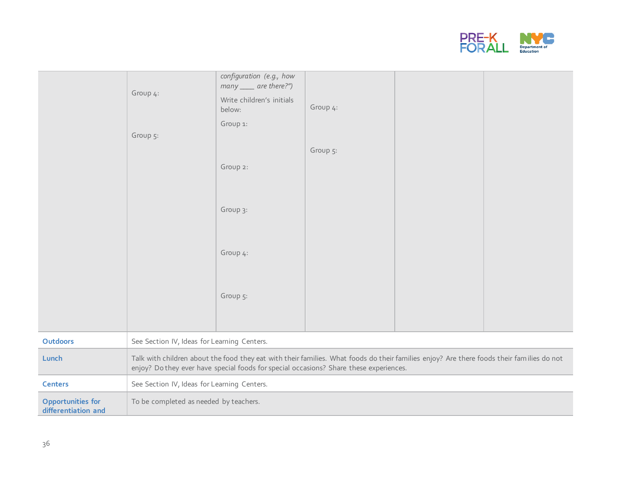

|                                          | Group 4:                                                                                                                                                                                                                            | configuration (e.g., how<br>many ____ are there?")<br>Write children's initials<br>below: | Group 4: |  |  |
|------------------------------------------|-------------------------------------------------------------------------------------------------------------------------------------------------------------------------------------------------------------------------------------|-------------------------------------------------------------------------------------------|----------|--|--|
|                                          | Group 5:                                                                                                                                                                                                                            | Group 1:                                                                                  |          |  |  |
|                                          |                                                                                                                                                                                                                                     |                                                                                           | Group 5: |  |  |
|                                          |                                                                                                                                                                                                                                     | Group 2:                                                                                  |          |  |  |
|                                          |                                                                                                                                                                                                                                     |                                                                                           |          |  |  |
|                                          |                                                                                                                                                                                                                                     | Group 3:                                                                                  |          |  |  |
|                                          |                                                                                                                                                                                                                                     |                                                                                           |          |  |  |
|                                          |                                                                                                                                                                                                                                     | Group 4:                                                                                  |          |  |  |
|                                          |                                                                                                                                                                                                                                     | Group 5:                                                                                  |          |  |  |
|                                          |                                                                                                                                                                                                                                     |                                                                                           |          |  |  |
| <b>Outdoors</b>                          | See Section IV, Ideas for Learning Centers.                                                                                                                                                                                         |                                                                                           |          |  |  |
| Lunch                                    | Talk with children about the food they eat with their families. What foods do their families enjoy? Are there foods their families do not<br>enjoy? Do they ever have special foods for special occasions? Share these experiences. |                                                                                           |          |  |  |
| <b>Centers</b>                           | See Section IV, Ideas for Learning Centers.                                                                                                                                                                                         |                                                                                           |          |  |  |
| Opportunities for<br>differentiation and | To be completed as needed by teachers.                                                                                                                                                                                              |                                                                                           |          |  |  |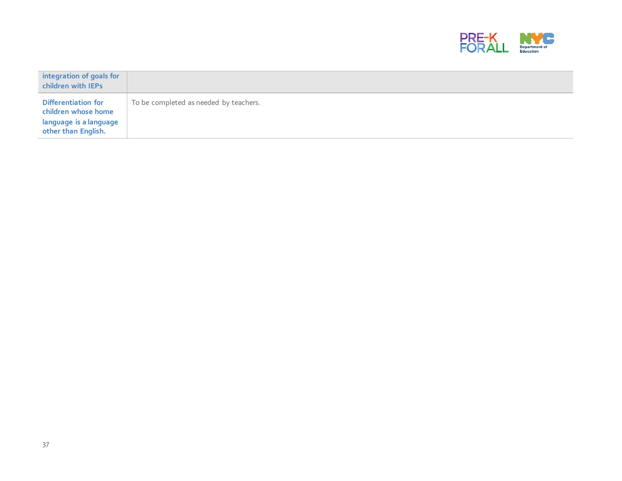

| integration of goals for<br>children with IEPs                                              |                                        |
|---------------------------------------------------------------------------------------------|----------------------------------------|
| Differentiation for<br>children whose home<br>language is a language<br>other than English. | To be completed as needed by teachers. |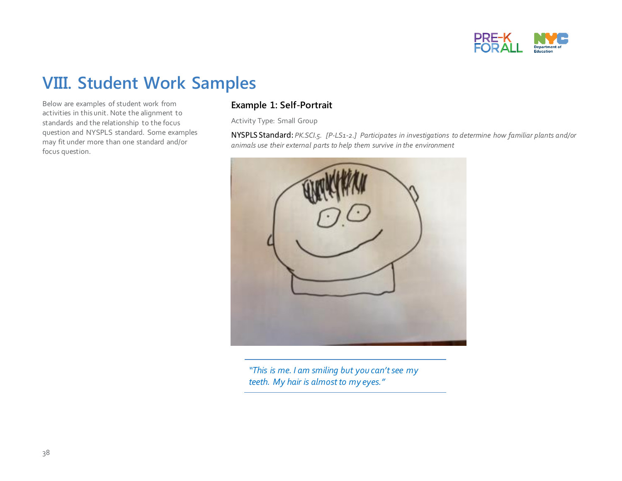

## **VIII. Student Work Samples**

Below are examples of student work from activities in this unit. Note the alignment to standards and the relationship to the focus question and NYSPLS standard. Some examples may fit under more than one standard and/or focus question.

#### **Example 1: Self-Portrait**

Activity Type: Small Group

NYSPLS Standard: *PK.SCI.5. [P-LS1-2.] Participates in investigations to determine how familiar plants and/or animals use their external parts to help them survive in the environment* 



*"This is me. I am smiling but you can't see my teeth. My hair is almost to my eyes."*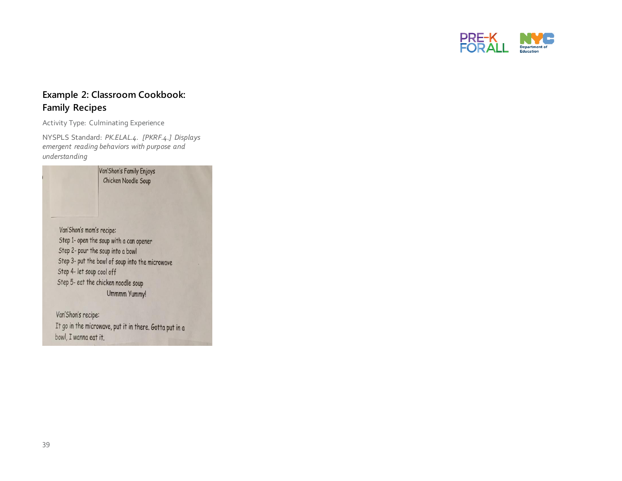

#### **Example 2: Classroom Cookbook: Family Recipes**

Activity Type: Culminating Experience

NYSPLS Standard: *PK.ELAL.4. [PKRF.4.] Displays emergent reading behaviors with purpose and understanding*

|                           | Van'Shon's Family Enjoys<br>Chicken Noodle Soup |  |
|---------------------------|-------------------------------------------------|--|
|                           |                                                 |  |
|                           |                                                 |  |
| Van'Shon's mom's recipe:  |                                                 |  |
|                           | Step 1- open the soup with a can opener         |  |
|                           | Step 2- pour the soup into a bowl               |  |
|                           | Step 3- put the bowl of soup into the microwave |  |
| Step 4- let soup cool off |                                                 |  |
|                           | Step 5- eat the chicken noodle soup             |  |
|                           | Ummmm Yummy!                                    |  |
| Van'Shan's nosing         |                                                 |  |

Van Shon's recipe: It go in the microwave, put it in there. Gotta put in a bowl, I wanna eat it.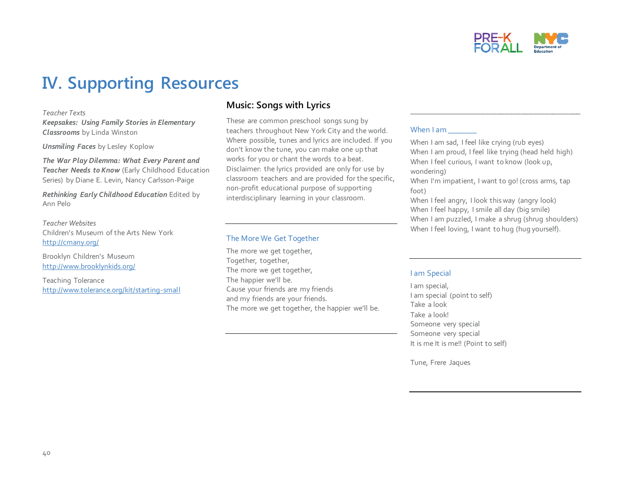

## **IV. Supporting Resources**

#### *Teacher Texts*

*Keepsakes: Using Family Stories in Elementary Classrooms* by Linda Winston

*Unsmiling Faces* by Lesley Koplow

*The War Play Dilemma: What Every Parent and Teacher Needs to Know* (Early Childhood Education Series) by Diane E. Levin, Nancy Carlsson-Paige

*Rethinking Early Childhood Education* Edited by Ann Pelo

*Teacher Websites* Children's Museum of the Arts New York <http://cmany.org/>

Brooklyn Children's Museum <http://www.brooklynkids.org/>

Teaching Tolerance <http://www.tolerance.org/kit/starting-small>

#### **Music: Songs with Lyrics**

These are common preschool songs sung by teachers throughout New York City and the world. Where possible, tunes and lyrics are included. If you don't know the tune, you can make one up that works for you or chant the words to a beat. Disclaimer: the lyrics provided are only for use by classroom teachers and are provided for the specific, non-profit educational purpose of supporting interdisciplinary learning in your classroom.

#### The More We Get Together

The more we get together, Together, together, The more we get together, The happier we'll be. Cause your friends are my friends and my friends are your friends. The more we get together, the happier we'll be.

#### When I am

When I am sad. I feel like crying (rub eyes) When I am proud, I feel like trying (head held high) When I feel curious, I want to know (look up, wondering)

\_\_\_\_\_\_\_\_\_\_\_\_\_\_\_\_\_\_\_\_\_\_\_\_\_\_\_\_\_\_\_\_\_\_\_\_\_\_\_\_\_\_

When I'm impatient, I want to go! (cross arms, tap foot)

When I feel angry, I look this way (angry look) When I feel happy, I smile all day (big smile) When I am puzzled, I make a shrug (shrug shoulders) When I feel loving, I want to hug (hug yourself).

#### I am Special

I am special, I am special (point to self) Take a look Take a look! Someone very special Someone very special It is me It is me!! (Point to self)

Tune, Frere Jaques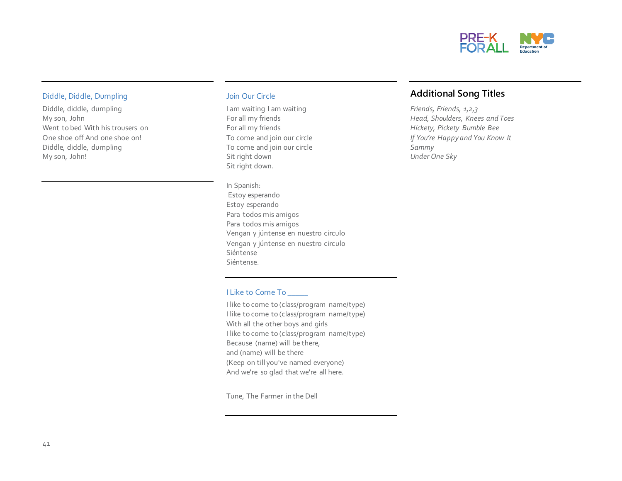

#### Diddle, Diddle, Dumpling

Diddle, diddle, dumpling My son, John Went to bed With his trousers on One shoe off And one shoe on! Diddle, diddle, dumpling My son, John!

#### Join Our Circle

I am waiting I am waiting For all my friends For all my friends To come and join our circle To come and join our circle Sit right down Sit right down.

In Spanish: Estoy esperando Estoy esperando Para todos mis amigos Para todos mis amigos Vengan y júntense en nuestro circulo Vengan y júntense en nuestro circulo Siéntense Siéntense.

#### I Like to Come To

I like to come to (class/program name/type) I like to come to (class/program name/type) With all the other boys and girls I like to come to (class/program name/type) Because (name) will be there, and (name) will be there (Keep on till you've named everyone) And we're so glad that we're all here.

Tune, The Farmer in the Dell

#### **Additional Song Titles**

*Friends, Friends, 1,2,3 Head, Shoulders, Knees and Toes Hickety, Pickety Bumble Bee If You're Happy and You Know It Sammy Under One Sky*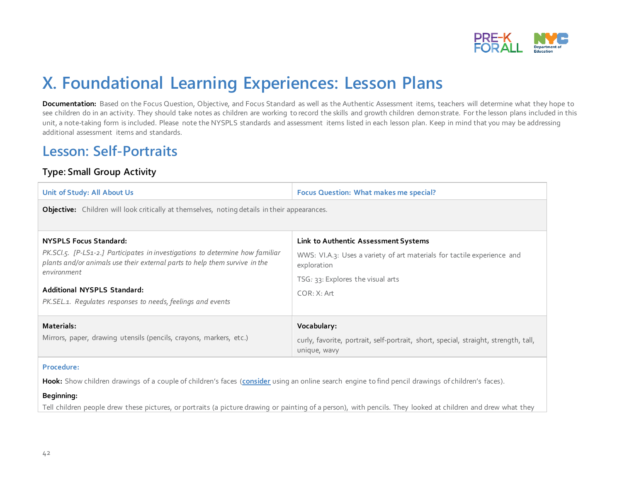

## **X. Foundational Learning Experiences: Lesson Plans**

**Documentation:** Based on the Focus Question, Objective, and Focus Standard as well as the Authentic Assessment items, teachers will determine what they hope to see children do in an activity. They should take notes as children are working to record the skills and growth children demonstrate. For the lesson plans included in this unit, a note-taking form is included. Please note the NYSPLS standards and assessment items listed in each lesson plan. Keep in mind that you may be addressing additional assessment items and standards.

### **Lesson: Self-Portraits**

#### **Type: Small Group Activity**

| Unit of Study: All About Us                                                                                                                                 | <b>Focus Question: What makes me special?</b>                                                       |  |  |  |  |  |
|-------------------------------------------------------------------------------------------------------------------------------------------------------------|-----------------------------------------------------------------------------------------------------|--|--|--|--|--|
| <b>Objective:</b> Children will look critically at themselves, noting details in their appearances.                                                         |                                                                                                     |  |  |  |  |  |
| <b>NYSPLS Focus Standard:</b>                                                                                                                               | Link to Authentic Assessment Systems                                                                |  |  |  |  |  |
| PK.SCI.5. [P-LS1-2.] Participates in investigations to determine how familiar<br>plants and/or animals use their external parts to help them survive in the | WWS: VI.A.3: Uses a variety of art materials for tactile experience and<br>exploration              |  |  |  |  |  |
| environment<br><b>Additional NYSPLS Standard:</b>                                                                                                           | $TSG: 33$ : Explores the visual arts<br>COR: X: Art                                                 |  |  |  |  |  |
| PK.SEL.1. Regulates responses to needs, feelings and events                                                                                                 |                                                                                                     |  |  |  |  |  |
| Materials:                                                                                                                                                  | Vocabulary:                                                                                         |  |  |  |  |  |
| Mirrors, paper, drawing utensils (pencils, crayons, markers, etc.)                                                                                          | curly, favorite, portrait, self-portrait, short, special, straight, strength, tall,<br>unique, wavy |  |  |  |  |  |

#### **Procedure:**

**Hook:** Show children drawings of a couple of children's faces (**[consider](file://///52CCIFS00/Users$/EHamlin/Winnt/System/Desktop/Unit%20Translations/consider)** using an online search engine to find pencil drawings of children's faces).

#### **Beginning:**

Tell children people drew these pictures, or portraits (a picture drawing or painting of a person), with pencils. They looked at children and drew what they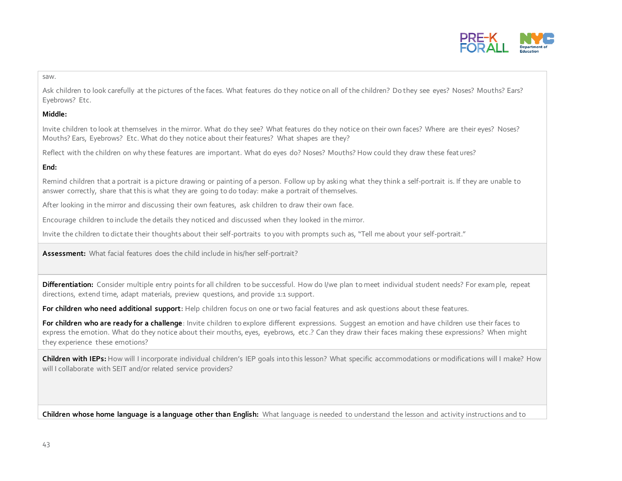

#### saw.

Ask children to look carefully at the pictures of the faces. What features do they notice on all of the children? Do they see eyes? Noses? Mouths? Ears? Eyebrows? Etc.

#### **Middle:**

Invite children to look at themselves in the mirror. What do they see? What features do they notice on their own faces? Where are their eyes? Noses? Mouths? Ears, Eyebrows? Etc. What do they notice about their features? What shapes are they?

Reflect with the children on why these features are important. What do eyes do? Noses? Mouths? How could they draw these feat ures?

#### **End:**

Remind children that a portrait is a picture drawing or painting of a person. Follow up by asking what they think a self-portrait is. If they are unable to answer correctly, share that this is what they are going to do today: make a portrait of themselves.

After looking in the mirror and discussing their own features, ask children to draw their own face.

Encourage children to include the details they noticed and discussed when they looked in the mirror.

Invite the children to dictate their thoughts about their self-portraits to you with prompts such as, "Tell me about your self-portrait."

**Assessment:** What facial features does the child include in his/her self-portrait?

**Differentiation:** Consider multiple entry points for all children to be successful. How do I/we plan to meet individual student needs? For example, repeat directions, extend time, adapt materials, preview questions, and provide 1:1 support.

**For children who need additional support:** Help children focus on one or two facial features and ask questions about these features.

**For children who are ready for a challenge**: Invite children to explore different expressions. Suggest an emotion and have children use their faces to express the emotion. What do they notice about their mouths, eyes, eyebrows, etc.? Can they draw their faces making these expressions? When might they experience these emotions?

**Children with IEPs:** How will I incorporate individual children's IEP goals into this lesson? What specific accommodations or modifications will I make? How will I collaborate with SEIT and/or related service providers?

**Children whose home language is a language other than English:** What language is needed to understand the lesson and activity instructions and to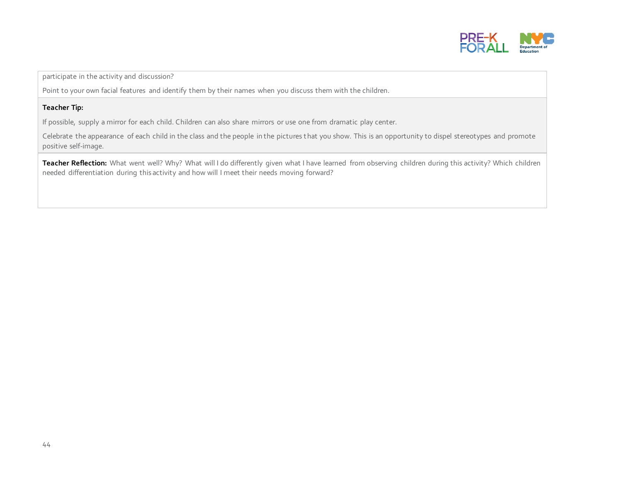

participate in the activity and discussion?

Point to your own facial features and identify them by their names when you discuss them with the children.

#### **Teacher Tip:**

If possible, supply a mirror for each child. Children can also share mirrors or use one from dramatic play center.

Celebrate the appearance of each child in the class and the people in the pictures that you show. This is an opportunity to dispel stereotypes and promote positive self-image.

Teacher Reflection: What went well? Why? What will I do differently given what I have learned from observing children during this activity? Which children needed differentiation during this activity and how will I meet their needs moving forward?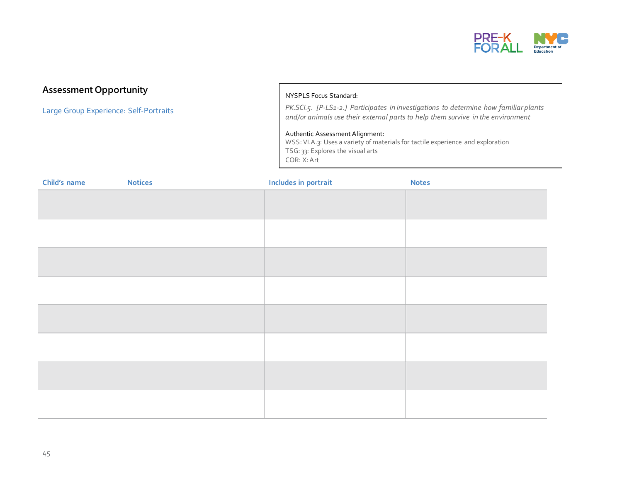

#### **Assessment Opportunity**

Large Group Experience: Self-Portraits

#### NYSPLS Focus Standard:

*PK.SCI.5. [P-LS1-2.] Participates in investigations to determine how familiar plants and/or animals use their external parts to help them survive in the environment* 

#### Authentic Assessment Alignment:

WSS: VI.A.3: Uses a variety of materials for tactile experience and exploration TSG: 33: Explores the visual arts COR: X: Art

| Child's name | <b>Notices</b> | Includes in portrait | <b>Notes</b> |
|--------------|----------------|----------------------|--------------|
|              |                |                      |              |
|              |                |                      |              |
|              |                |                      |              |
|              |                |                      |              |
|              |                |                      |              |
|              |                |                      |              |
|              |                |                      |              |
|              |                |                      |              |
|              |                |                      |              |
|              |                |                      |              |
|              |                |                      |              |
|              |                |                      |              |
|              |                |                      |              |
|              |                |                      |              |
|              |                |                      |              |
|              |                |                      |              |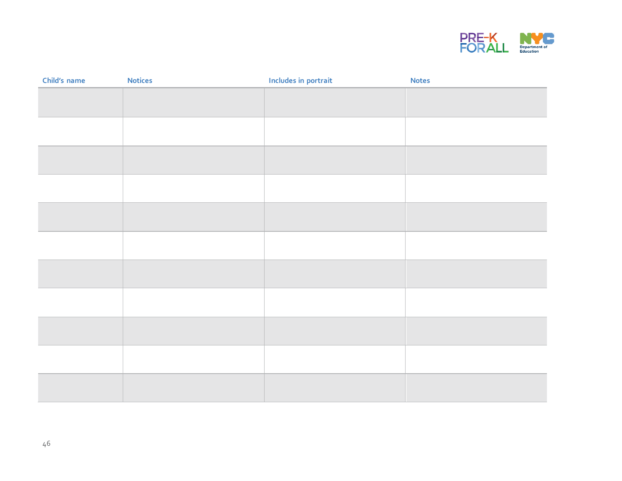

| Child's name | <b>Notices</b> | Includes in portrait | <b>Notes</b> |
|--------------|----------------|----------------------|--------------|
|              |                |                      |              |
|              |                |                      |              |
|              |                |                      |              |
|              |                |                      |              |
|              |                |                      |              |
|              |                |                      |              |
|              |                |                      |              |
|              |                |                      |              |
|              |                |                      |              |
|              |                |                      |              |
|              |                |                      |              |
|              |                |                      |              |
|              |                |                      |              |
|              |                |                      |              |
|              |                |                      |              |
|              |                |                      |              |
|              |                |                      |              |
|              |                |                      |              |
|              |                |                      |              |
|              |                |                      |              |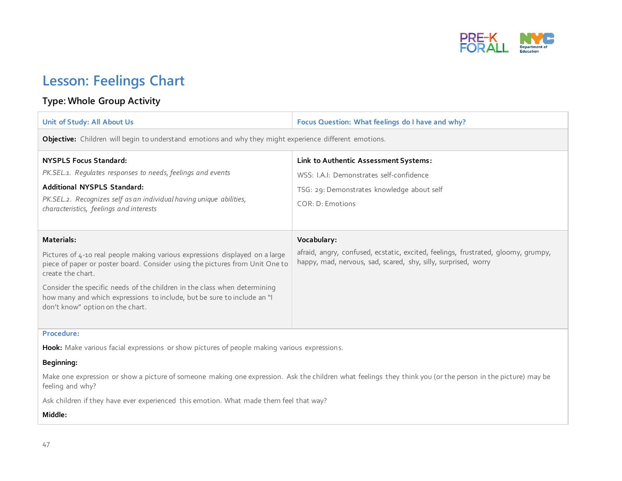

## **Lesson: Feelings Chart**

#### **Type: Whole Group Activity**

| Unit of Study: All About Us                                                                                                                                                                                                                                                                                                                                                                 | Focus Question: What feelings do I have and why?                                                                                                                   |  |
|---------------------------------------------------------------------------------------------------------------------------------------------------------------------------------------------------------------------------------------------------------------------------------------------------------------------------------------------------------------------------------------------|--------------------------------------------------------------------------------------------------------------------------------------------------------------------|--|
| <b>Objective:</b> Children will begin to understand emotions and why they might experience different emotions.                                                                                                                                                                                                                                                                              |                                                                                                                                                                    |  |
| <b>NYSPLS Focus Standard:</b><br>PK.SEL.1. Regulates responses to needs, feelings and events<br>Additional NYSPLS Standard:<br>PK.SEL.2. Recognizes self as an individual having unique abilities,<br>characteristics, feelings and interests                                                                                                                                               | Link to Authentic Assessment Systems:<br>WSS: I.A.I: Demonstrates self-confidence<br>TSG: 29: Demonstrates knowledge about self<br>$COR \cdot D \cdot$ Emotions    |  |
| Materials:<br>Pictures of 4-10 real people making various expressions displayed on a large<br>piece of paper or poster board. Consider using the pictures from Unit One to<br>create the chart.<br>Consider the specific needs of the children in the class when determining<br>how many and which expressions to include, but be sure to include an "I<br>don't know" option on the chart. | Vocabulary:<br>afraid, angry, confused, ecstatic, excited, feelings, frustrated, gloomy, grumpy,<br>happy, mad, nervous, sad, scared, shy, silly, surprised, worry |  |

#### **Procedure:**

**Hook:** Make various facial expressions or show pictures of people making various expressions.

#### **Beginning:**

Make one expression or show a picture of someone making one expression. Ask the children what feelings they think you (or the person in the picture) may be feeling and why?

Ask children if they have ever experienced this emotion. What made them feel that way?

#### **Middle:**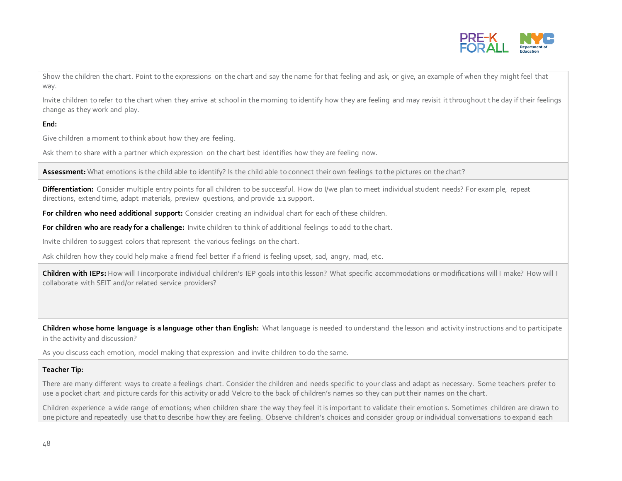

Show the children the chart. Point to the expressions on the chart and say the name for that feeling and ask, or give, an example of when they might feel that way.

Invite children to refer to the chart when they arrive at school in the morning to identify how they are feeling and may revisit it throughout t he day if their feelings change as they work and play.

#### **End:**

Give children a moment to think about how they are feeling.

Ask them to share with a partner which expression on the chart best identifies how they are feeling now.

Assessment: What emotions is the child able to identify? Is the child able to connect their own feelings to the pictures on the chart?

**Differentiation:** Consider multiple entry points for all children to be successful. How do I/we plan to meet individual student needs? For example, repeat directions, extend time, adapt materials, preview questions, and provide 1:1 support.

**For children who need additional support:** Consider creating an individual chart for each of these children.

**For children who are ready for a challenge:** Invite children to think of additional feelings to add to the chart.

Invite children to suggest colors that represent the various feelings on the chart.

Ask children how they could help make a friend feel better if a friend is feeling upset, sad, angry, mad, etc.

**Children with IEPs:** How will I incorporate individual children's IEP goals into this lesson? What specific accommodations or modifications will I make? How will I collaborate with SEIT and/or related service providers?

**Children whose home language is a language other than English:** What language is needed to understand the lesson and activity instructions and to participate in the activity and discussion?

As you discuss each emotion, model making that expression and invite children to do the same.

#### **Teacher Tip:**

There are many different ways to create a feelings chart. Consider the children and needs specific to your class and adapt as necessary. Some teachers prefer to use a pocket chart and picture cards for this activity or add Velcro to the back of children's names so they can put their names on the chart.

Children experience a wide range of emotions; when children share the way they feel it is important to validate their emotions. Sometimes children are drawn to one picture and repeatedly use that to describe how they are feeling. Observe children's choices and consider group or individual conversations to expand each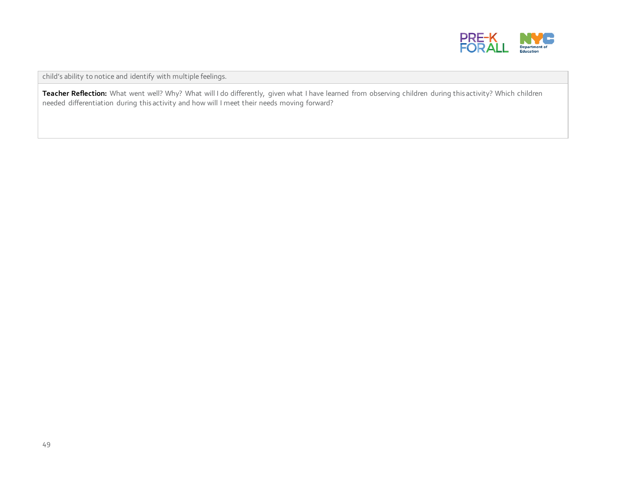

child's ability to notice and identify with multiple feelings.

Teacher Reflection: What went well? Why? What will I do differently, given what I have learned from observing children during this activity? Which children needed differentiation during this activity and how will I meet their needs moving forward?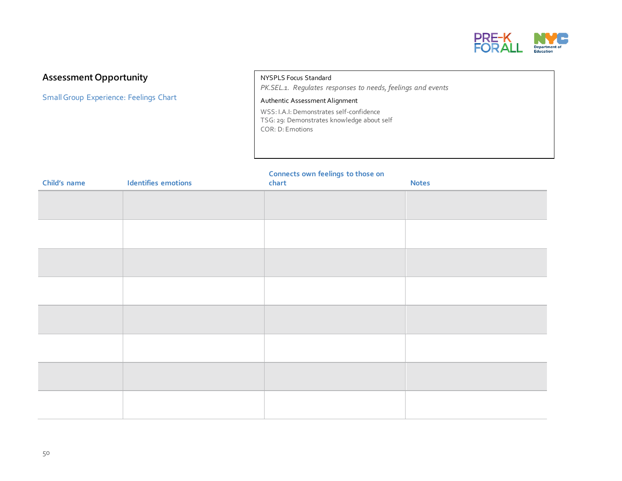

#### **Assessment Opportunity**

SmallGroup Experience: Feelings Chart

NYSPLS Focus Standard *PK.SEL.1. Regulates responses to needs, feelings and events*

#### Authentic Assessment Alignment

WSS: I.A.I: Demonstrates self-confidence TSG: 29: Demonstrates knowledge about self COR: D: Emotions

#### **Connects own feelings to those on**

| Child's name | Identifies emotions | -<br>chart | <b>Notes</b> |
|--------------|---------------------|------------|--------------|
|              |                     |            |              |
|              |                     |            |              |
|              |                     |            |              |
|              |                     |            |              |
|              |                     |            |              |
|              |                     |            |              |
|              |                     |            |              |
|              |                     |            |              |
|              |                     |            |              |
|              |                     |            |              |
|              |                     |            |              |
|              |                     |            |              |
|              |                     |            |              |
|              |                     |            |              |
|              |                     |            |              |
|              |                     |            |              |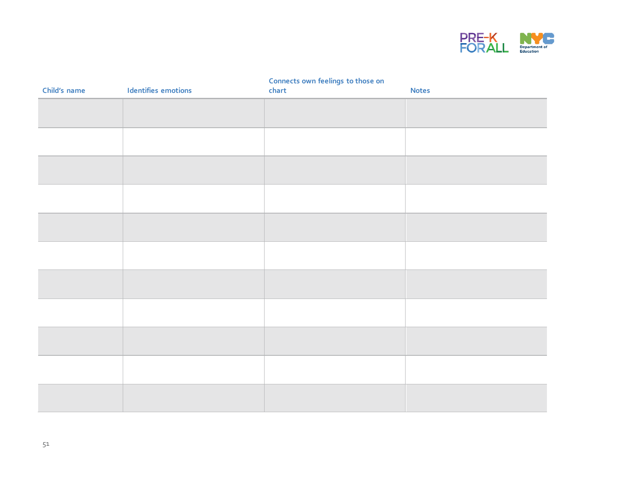

#### **Connects own feelings to those on**

| Child's name | Identifies emotions | chart | <b>Notes</b> |
|--------------|---------------------|-------|--------------|
|              |                     |       |              |
|              |                     |       |              |
|              |                     |       |              |
|              |                     |       |              |
|              |                     |       |              |
|              |                     |       |              |
|              |                     |       |              |
|              |                     |       |              |
|              |                     |       |              |
|              |                     |       |              |
|              |                     |       |              |
|              |                     |       |              |
|              |                     |       |              |
|              |                     |       |              |
|              |                     |       |              |
|              |                     |       |              |
|              |                     |       |              |
|              |                     |       |              |
|              |                     |       |              |
|              |                     |       |              |
|              |                     |       |              |
|              |                     |       |              |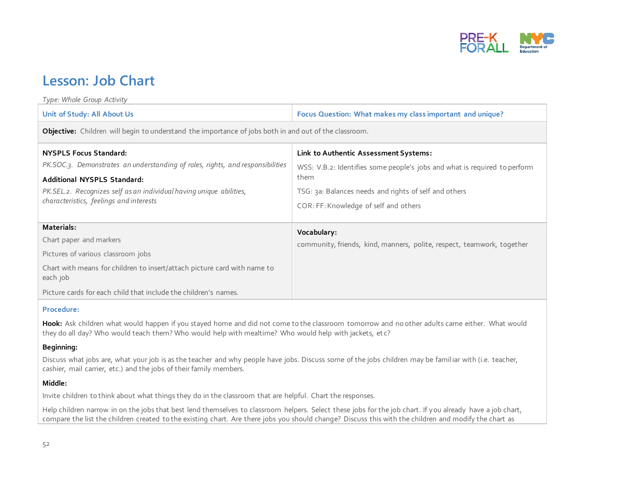

### **Lesson: Job Chart**

| Type: Whole Group Activity                                                                                                                                                                                                                                              |                                                                                                                                                                                                                              |  |  |
|-------------------------------------------------------------------------------------------------------------------------------------------------------------------------------------------------------------------------------------------------------------------------|------------------------------------------------------------------------------------------------------------------------------------------------------------------------------------------------------------------------------|--|--|
| Unit of Study: All About Us                                                                                                                                                                                                                                             | Focus Question: What makes my class important and unique?                                                                                                                                                                    |  |  |
| Objective: Children will begin to understand the importance of jobs both in and out of the classroom.                                                                                                                                                                   |                                                                                                                                                                                                                              |  |  |
| <b>NYSPLS Focus Standard:</b><br>PK.SOC.3. Demonstrates an understanding of roles, rights, and responsibilities<br><b>Additional NYSPLS Standard:</b><br>PK.SEL.2. Recognizes self as an individual having unique abilities,<br>characteristics, feelings and interests | Link to Authentic Assessment Systems:<br>WSS: V.B.2: Identifies some people's jobs and what is required to perform<br>them<br>TSG: 3a: Balances needs and rights of self and others<br>COR: FF: Knowledge of self and others |  |  |
| Materials:<br>Chart paper and markers<br>Pictures of various classroom jobs<br>Chart with means for children to insert/attach picture card with name to<br>each job<br>Picture cards for each child that include the children's names.                                  | Vocabulary:<br>community, friends, kind, manners, polite, respect, teamwork, together                                                                                                                                        |  |  |

#### **Procedure:**

Hook: Ask children what would happen if you stayed home and did not come to the classroom tomorrow and no other adults came either. What would they do all day? Who would teach them? Who would help with mealtime? Who would help with jackets, et c?

#### **Beginning:**

Discuss what jobs are, what your job is as the teacher and why people have jobs. Discuss some of the jobs children may be familiar with (i.e. teacher, cashier, mail carrier, etc.) and the jobs of their family members.

#### **Middle:**

Invite children to think about what things they do in the classroom that are helpful. Chart the responses.

Help children narrow in on the jobs that best lend themselves to classroom helpers. Select these jobs for the job chart. If you already have a job chart, compare the list the children created to the existing chart. Are there jobs you should change? Discuss this with the children and modify the chart as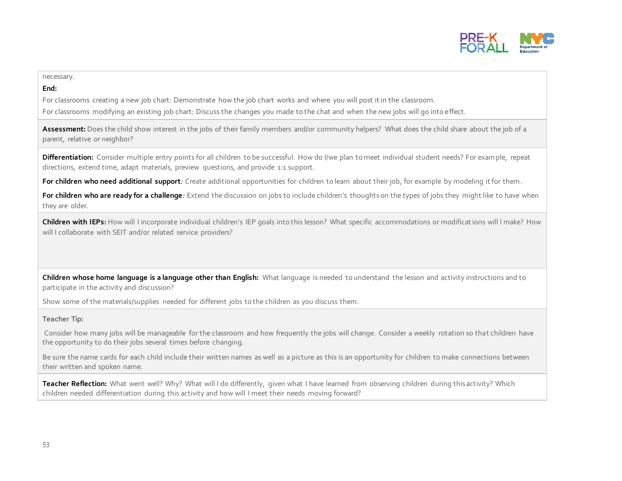

#### necessary.

#### **End:**

For classrooms creating a new job chart: Demonstrate how the job chart works and where you will post it in the classroom.

For classrooms modifying an existing job chart: Discuss the changes you made to the chat and when the new jobs will go into effect.

Assessment: Does the child show interest in the jobs of their family members and/or community helpers? What does the child share about the job of a parent, relative or neighbor?

Differentiation: Consider multiple entry points for all children to be successful. How do I/we plan to meet individual student needs? For example, repeat directions, extend time, adapt materials, preview questions, and provide 1:1 support.

**For children who need additional support***:* Create additional opportunities for children to learn about their job, for example by modeling it for them.

**For children who are ready for a challenge***:* Extend the discussion on jobs to include children's thoughts on the types of jobs they might like to have when they are older.

**Children with IEPs:** How will I incorporate individual children's IEP goals into this lesson? What specific accommodations or modifications will I make? How will I collaborate with SEIT and/or related service providers?

**Children whose home language is a language other than English:** What language is needed to understand the lesson and activity instructions and to participate in the activity and discussion?

Show some of the materials/supplies needed for different jobs to the children as you discuss them.

#### **Teacher Tip:**

Consider how many jobs will be manageable for the classroom and how frequently the jobs will change. Consider a weekly rotation so that children have the opportunity to do their jobs several times before changing.

Be sure the name cards for each child include their written names as well as a picture as this is an opportunity for children to make connections between their written and spoken name.

Teacher Reflection: What went well? Why? What will I do differently, given what I have learned from observing children during this activity? Which children needed differentiation during this activity and how will I meet their needs moving forward?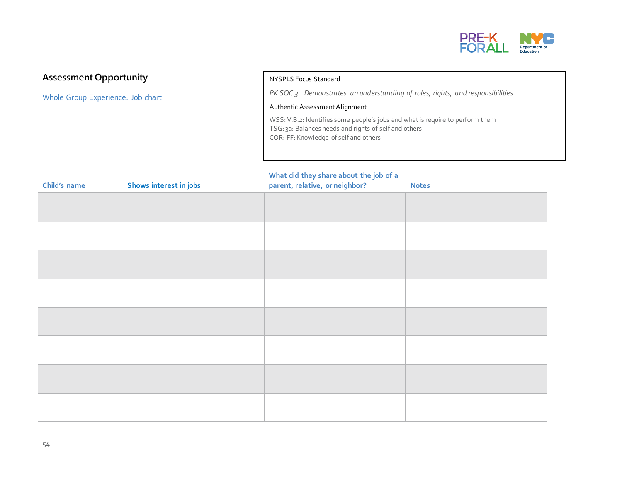

#### **Assessment Opportunity**

Whole Group Experience: Job chart

#### NYSPLS Focus Standard

*PK.SOC.3. Demonstrates an understanding of roles, rights, and responsibilities*

#### Authentic Assessment Alignment

WSS: V.B.2: Identifies some people's jobs and what is require to perform them TSG: 3a: Balances needs and rights of self and others COR: FF: Knowledge of self and others

#### **What did they share about the job of a**

| Child's name | Shows interest in jobs | parent, relative, or neighbor? | <b>Notes</b> |
|--------------|------------------------|--------------------------------|--------------|
|              |                        |                                |              |
|              |                        |                                |              |
|              |                        |                                |              |
|              |                        |                                |              |
|              |                        |                                |              |
|              |                        |                                |              |
|              |                        |                                |              |
|              |                        |                                |              |
|              |                        |                                |              |
|              |                        |                                |              |
|              |                        |                                |              |
|              |                        |                                |              |
|              |                        |                                |              |
|              |                        |                                |              |
|              |                        |                                |              |
|              |                        |                                |              |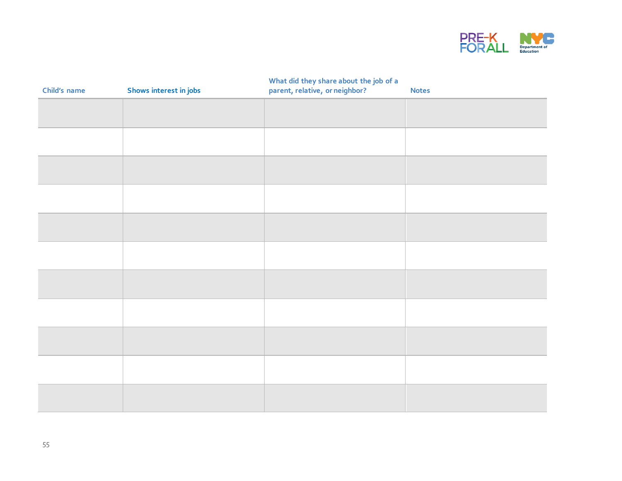

| Child's name | Shows interest in jobs | What did they share about the job of a<br>parent, relative, or neighbor? | <b>Notes</b> |
|--------------|------------------------|--------------------------------------------------------------------------|--------------|
|              |                        |                                                                          |              |
|              |                        |                                                                          |              |
|              |                        |                                                                          |              |
|              |                        |                                                                          |              |
|              |                        |                                                                          |              |
|              |                        |                                                                          |              |
|              |                        |                                                                          |              |
|              |                        |                                                                          |              |
|              |                        |                                                                          |              |
|              |                        |                                                                          |              |
|              |                        |                                                                          |              |
|              |                        |                                                                          |              |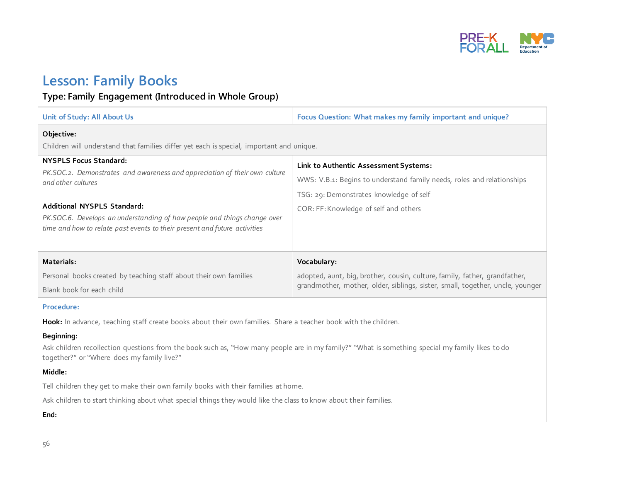

### **Lesson: Family Books**

#### **Type: Family Engagement (Introduced in Whole Group)**

| Unit of Study: All About Us                                                                                                                                             | Focus Question: What makes my family important and unique?                                                                                                                                          |  |  |
|-------------------------------------------------------------------------------------------------------------------------------------------------------------------------|-----------------------------------------------------------------------------------------------------------------------------------------------------------------------------------------------------|--|--|
| Objective:<br>Children will understand that families differ yet each is special, important and unique.                                                                  |                                                                                                                                                                                                     |  |  |
| <b>NYSPLS Focus Standard:</b><br>PK.SOC.2. Demonstrates and awareness and appreciation of their own culture<br>and other cultures<br><b>Additional NYSPLS Standard:</b> | Link to Authentic Assessment Systems:<br>WWS: V.B.1: Begins to understand family needs, roles and relationships<br>TSG: 29: Demonstrates knowledge of self<br>COR: FF: Knowledge of self and others |  |  |
| PK.SOC.6. Develops an understanding of how people and things change over<br>time and how to relate past events to their present and future activities<br>Materials:     | Vocabulary:                                                                                                                                                                                         |  |  |
| Personal books created by teaching staff about their own families<br>Blank book for each child                                                                          | adopted, aunt, big, brother, cousin, culture, family, father, grandfather,<br>grandmother, mother, older, siblings, sister, small, together, uncle, younger                                         |  |  |

#### **Procedure:**

**Hook:** In advance, teaching staff create books about their own families. Share a teacher book with the children.

#### **Beginning:**

Ask children recollection questions from the book such as, "How many people are in my family?" "What is something special my family likes to do together?" or "Where does my family live?"

#### **Middle:**

Tell children they get to make their own family books with their families at home.

Ask children to start thinking about what special things they would like the class to know about their families.

**End:**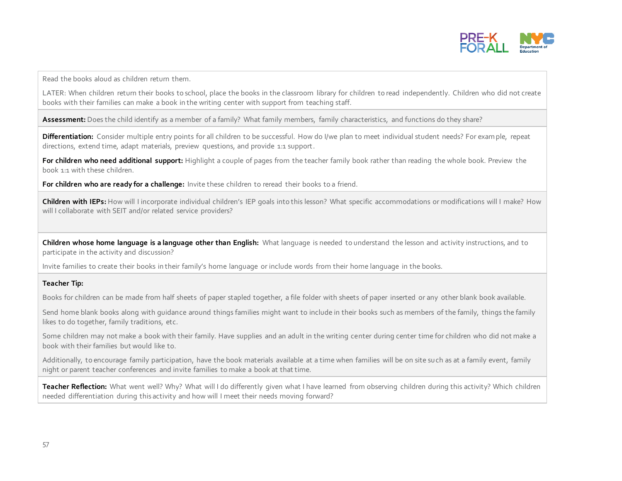

Read the books aloud as children return them.

LATER: When children return their books to school, place the books in the classroom library for children to read independently. Children who did not create books with their families can make a book in the writing center with support from teaching staff.

**Assessment:** Does the child identify as a member of a family? What family members, family characteristics, and functions do they share?

**Differentiation:** Consider multiple entry points for all children to be successful. How do I/we plan to meet individual student needs? For example, repeat directions, extend time, adapt materials, preview questions, and provide 1:1 support.

**For children who need additional support:** Highlight a couple of pages from the teacher family book rather than reading the whole book. Preview the book 1:1 with these children.

**For children who are ready for a challenge:** Invite these children to reread their books to a friend.

**Children with IEPs:** How will I incorporate individual children's IEP goals into this lesson? What specific accommodations or modifications will I make? How will I collaborate with SEIT and/or related service providers?

**Children whose home language is a language other than English:** What language is needed to understand the lesson and activity instructions, and to participate in the activity and discussion?

Invite families to create their books in their family's home language or include words from their home language in the books.

#### **Teacher Tip:**

Books for children can be made from half sheets of paper stapled together, a file folder with sheets of paper inserted or any other blank book available.

Send home blank books along with guidance around things families might want to include in their books such as members of the family, things the family likes to do together, family traditions, etc.

Some children may not make a book with their family. Have supplies and an adult in the writing center during center time for children who did not make a book with their families but would like to.

Additionally, to encourage family participation, have the book materials available at a time when families will be on site such as at a family event, family night or parent teacher conferences and invite families to make a book at that time.

Teacher Reflection: What went well? Why? What will I do differently given what I have learned from observing children during this activity? Which children needed differentiation during this activity and how will I meet their needs moving forward?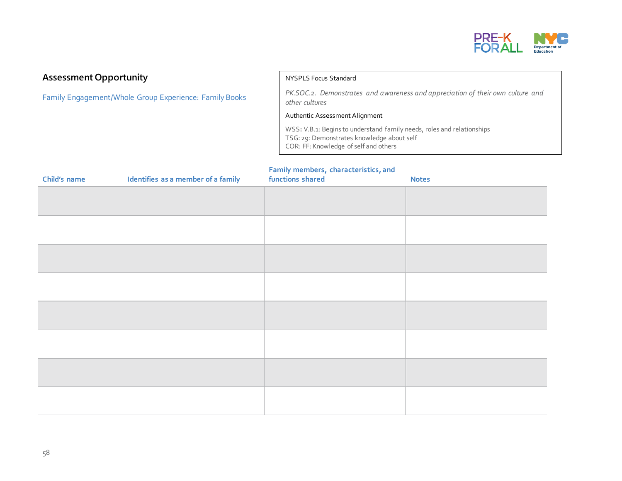

#### **Assessment Opportunity**

Family Engagement/Whole Group Experience: Family Books

#### NYSPLS Focus Standard

*PK.SOC.2. Demonstrates and awareness and appreciation of their own culture and other cultures*

#### Authentic Assessment Alignment

WSS**:** V.B.1: Begins to understand family needs, roles and relationships TSG: 29: Demonstrates knowledge about self COR: FF: Knowledge of self and others

#### **Family members, characteristics, and**

| Child's name | Identifies as a member of a family | caring members, endracteristics, and<br>functions shared | <b>Notes</b> |
|--------------|------------------------------------|----------------------------------------------------------|--------------|
|              |                                    |                                                          |              |
|              |                                    |                                                          |              |
|              |                                    |                                                          |              |
|              |                                    |                                                          |              |
|              |                                    |                                                          |              |
|              |                                    |                                                          |              |
|              |                                    |                                                          |              |
|              |                                    |                                                          |              |
|              |                                    |                                                          |              |
|              |                                    |                                                          |              |
|              |                                    |                                                          |              |
|              |                                    |                                                          |              |
|              |                                    |                                                          |              |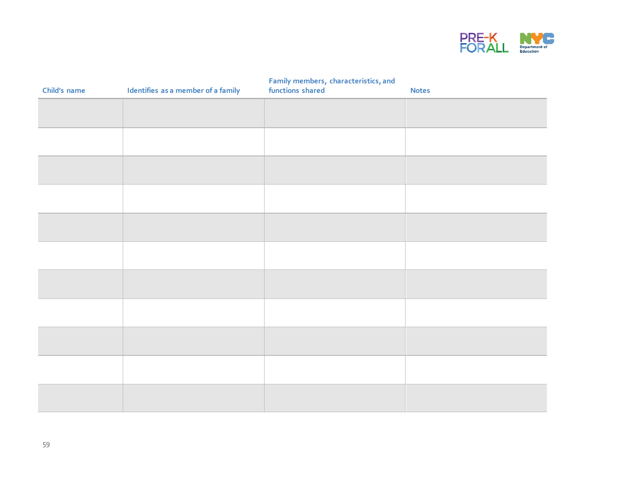

| Child's name | Identifies as a member of a family | Family members, characteristics, and<br>functions shared | <b>Notes</b> |
|--------------|------------------------------------|----------------------------------------------------------|--------------|
|              |                                    |                                                          |              |
|              |                                    |                                                          |              |
|              |                                    |                                                          |              |
|              |                                    |                                                          |              |
|              |                                    |                                                          |              |
|              |                                    |                                                          |              |
|              |                                    |                                                          |              |
|              |                                    |                                                          |              |
|              |                                    |                                                          |              |
|              |                                    |                                                          |              |
|              |                                    |                                                          |              |
|              |                                    |                                                          |              |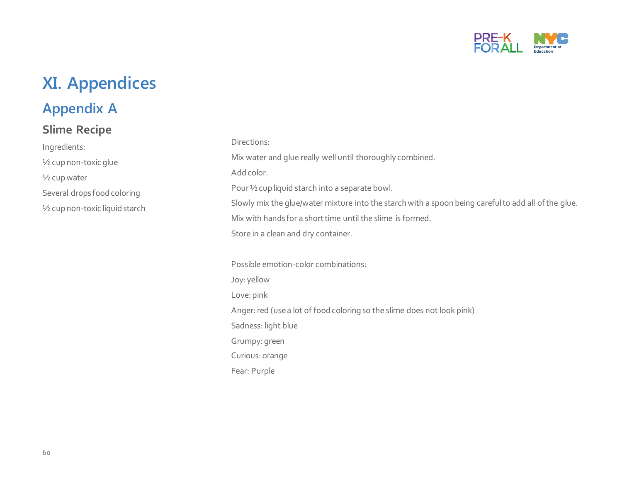

## **XI. Appendices**

### **Appendix A**

### **Slime Recipe**

Ingredients: ½ cup non-toxic glue ½ cup water Several drops food coloring ½ cup non-toxic liquid starch

#### Directions:

Mix water and glue really well until thoroughly combined.

#### Add color.

Pour ½ cup liquid starch into a separate bowl.

Slowly mix the glue/water mixture into the starch with a spoon being careful to add all of the glue.

Mix with hands for a short time until the slime is formed.

Store in a clean and dry container.

Possible emotion-color combinations: Joy: yellow Love: pink Anger: red (use a lot of food coloring so the slime does not look pink) Sadness: light blue Grumpy: green Curious: orange Fear: Purple